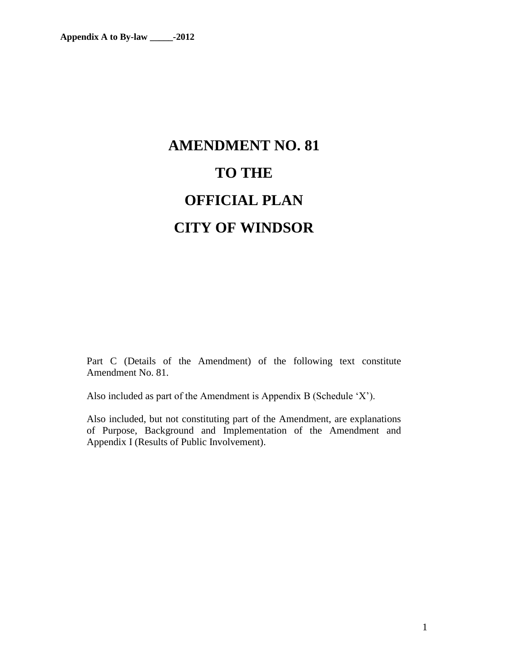# **AMENDMENT NO. 81 TO THE OFFICIAL PLAN CITY OF WINDSOR**

Part C (Details of the Amendment) of the following text constitute Amendment No. 81.

Also included as part of the Amendment is Appendix B (Schedule 'X').

Also included, but not constituting part of the Amendment, are explanations of Purpose, Background and Implementation of the Amendment and Appendix I (Results of Public Involvement).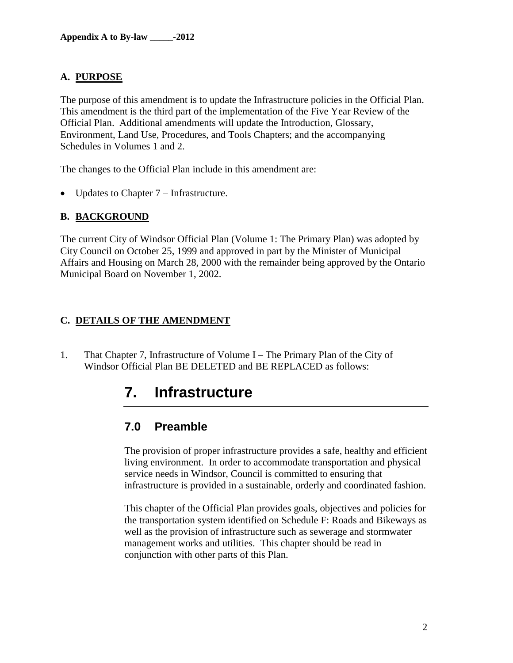#### **A. PURPOSE**

The purpose of this amendment is to update the Infrastructure policies in the Official Plan. This amendment is the third part of the implementation of the Five Year Review of the Official Plan. Additional amendments will update the Introduction, Glossary, Environment, Land Use, Procedures, and Tools Chapters; and the accompanying Schedules in Volumes 1 and 2.

The changes to the Official Plan include in this amendment are:

• Updates to Chapter 7 – Infrastructure.

#### **B. BACKGROUND**

The current City of Windsor Official Plan (Volume 1: The Primary Plan) was adopted by City Council on October 25, 1999 and approved in part by the Minister of Municipal Affairs and Housing on March 28, 2000 with the remainder being approved by the Ontario Municipal Board on November 1, 2002.

#### **C. DETAILS OF THE AMENDMENT**

1. That Chapter 7, Infrastructure of Volume I – The Primary Plan of the City of Windsor Official Plan BE DELETED and BE REPLACED as follows:

## **7. Infrastructure**

## **7.0 Preamble**

The provision of proper infrastructure provides a safe, healthy and efficient living environment. In order to accommodate transportation and physical service needs in Windsor, Council is committed to ensuring that infrastructure is provided in a sustainable, orderly and coordinated fashion.

This chapter of the Official Plan provides goals, objectives and policies for the transportation system identified on Schedule F: Roads and Bikeways as well as the provision of infrastructure such as sewerage and stormwater management works and utilities. This chapter should be read in conjunction with other parts of this Plan.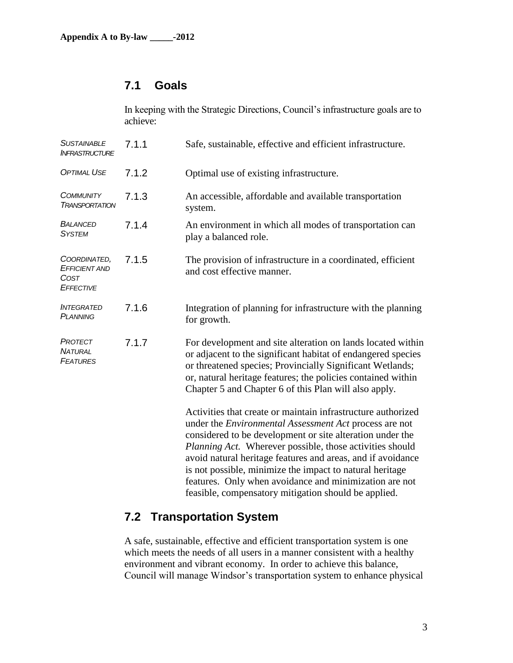## **7.1 Goals**

In keeping with the Strategic Directions, Council's infrastructure goals are to achieve:

| <b>SUSTAINABLE</b><br><b>INFRASTRUCTURE</b>               | 7.1.1 | Safe, sustainable, effective and efficient infrastructure.                                                                                                                                                                                                                                                                                                                                                                                                                                                 |
|-----------------------------------------------------------|-------|------------------------------------------------------------------------------------------------------------------------------------------------------------------------------------------------------------------------------------------------------------------------------------------------------------------------------------------------------------------------------------------------------------------------------------------------------------------------------------------------------------|
| <b>OPTIMAL USE</b>                                        | 7.1.2 | Optimal use of existing infrastructure.                                                                                                                                                                                                                                                                                                                                                                                                                                                                    |
| <b>COMMUNITY</b><br><b>TRANSPORTATION</b>                 | 7.1.3 | An accessible, affordable and available transportation<br>system.                                                                                                                                                                                                                                                                                                                                                                                                                                          |
| <b>BALANCED</b><br><b>SYSTEM</b>                          | 7.1.4 | An environment in which all modes of transportation can<br>play a balanced role.                                                                                                                                                                                                                                                                                                                                                                                                                           |
| COORDINATED,<br><b>EFFICIENT AND</b><br>COST<br>EFFECTIVE | 7.1.5 | The provision of infrastructure in a coordinated, efficient<br>and cost effective manner.                                                                                                                                                                                                                                                                                                                                                                                                                  |
| <b>INTEGRATED</b><br><b>PLANNING</b>                      | 7.1.6 | Integration of planning for infrastructure with the planning<br>for growth.                                                                                                                                                                                                                                                                                                                                                                                                                                |
| PROTECT<br><b>NATURAL</b><br><b>FEATURES</b>              | 7.1.7 | For development and site alteration on lands located within<br>or adjacent to the significant habitat of endangered species<br>or threatened species; Provincially Significant Wetlands;<br>or, natural heritage features; the policies contained within<br>Chapter 5 and Chapter 6 of this Plan will also apply.                                                                                                                                                                                          |
|                                                           |       | Activities that create or maintain infrastructure authorized<br>under the <i>Environmental Assessment Act</i> process are not<br>considered to be development or site alteration under the<br><i>Planning Act.</i> Wherever possible, those activities should<br>avoid natural heritage features and areas, and if avoidance<br>is not possible, minimize the impact to natural heritage<br>features. Only when avoidance and minimization are not<br>feasible, compensatory mitigation should be applied. |

## **7.2 Transportation System**

A safe, sustainable, effective and efficient transportation system is one which meets the needs of all users in a manner consistent with a healthy environment and vibrant economy. In order to achieve this balance, Council will manage Windsor's transportation system to enhance physical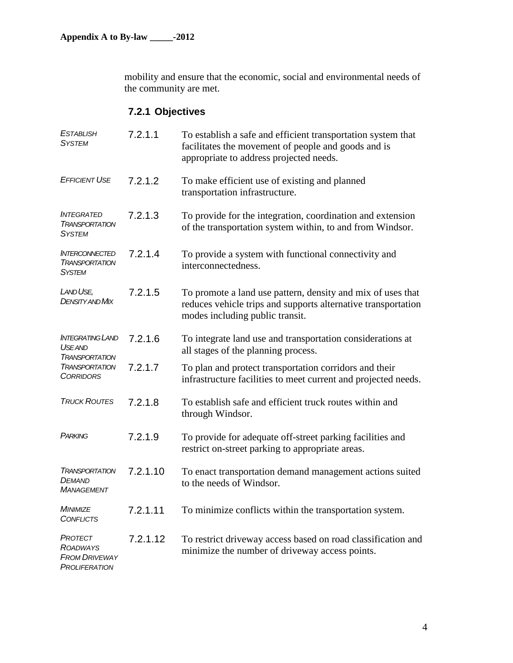mobility and ensure that the economic, social and environmental needs of the community are met.

## **7.2.1 Objectives**

| <b>ESTABLISH</b><br><b>SYSTEM</b>                                          | 7.2.1.1  | To establish a safe and efficient transportation system that<br>facilitates the movement of people and goods and is<br>appropriate to address projected needs.  |  |
|----------------------------------------------------------------------------|----------|-----------------------------------------------------------------------------------------------------------------------------------------------------------------|--|
| <b>EFFICIENT USE</b>                                                       | 7.2.1.2  | To make efficient use of existing and planned<br>transportation infrastructure.                                                                                 |  |
| <b>INTEGRATED</b><br><b>TRANSPORTATION</b><br><b>SYSTEM</b>                | 7.2.1.3  | To provide for the integration, coordination and extension<br>of the transportation system within, to and from Windsor.                                         |  |
| <b>INTERCONNECTED</b><br><b>TRANSPORTATION</b><br><b>SYSTEM</b>            | 7.2.1.4  | To provide a system with functional connectivity and<br>interconnectedness.                                                                                     |  |
| LAND USE,<br><b>DENSITY AND MIX</b>                                        | 7.2.1.5  | To promote a land use pattern, density and mix of uses that<br>reduces vehicle trips and supports alternative transportation<br>modes including public transit. |  |
| <b>INTEGRATING LAND</b><br><b>USEAND</b><br><b>TRANSPORTATION</b>          | 7.2.1.6  | To integrate land use and transportation considerations at<br>all stages of the planning process.                                                               |  |
| <b>TRANSPORTATION</b><br><b>CORRIDORS</b>                                  | 7.2.1.7  | To plan and protect transportation corridors and their<br>infrastructure facilities to meet current and projected needs.                                        |  |
| <b>TRUCK ROUTES</b>                                                        | 7.2.1.8  | To establish safe and efficient truck routes within and<br>through Windsor.                                                                                     |  |
| PARKING                                                                    | 7.2.1.9  | To provide for adequate off-street parking facilities and<br>restrict on-street parking to appropriate areas.                                                   |  |
| <b>TRANSPORTATION</b><br>DEMAND<br><b>MANAGEMENT</b>                       | 7.2.1.10 | To enact transportation demand management actions suited<br>to the needs of Windsor.                                                                            |  |
| MINIMIZE<br><b>CONFLICTS</b>                                               | 7.2.1.11 | To minimize conflicts within the transportation system.                                                                                                         |  |
| PROTECT<br><b>ROADWAYS</b><br><b>FROM DRIVEWAY</b><br><b>PROLIFERATION</b> | 7.2.1.12 | To restrict driveway access based on road classification and<br>minimize the number of driveway access points.                                                  |  |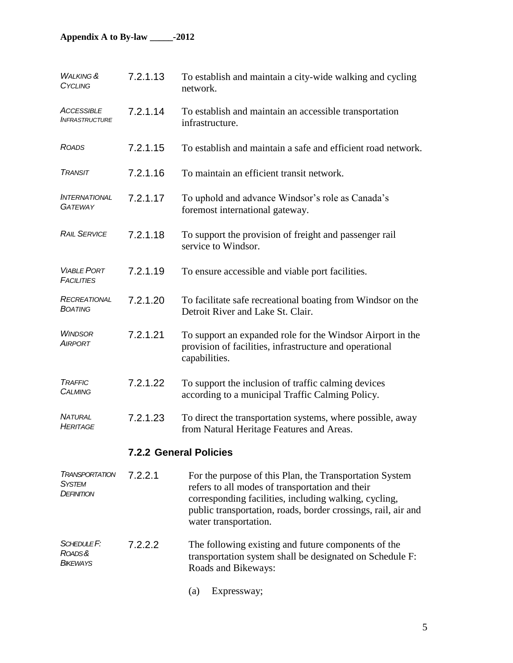### **Appendix A to By-law \_\_\_\_\_-2012**

| <b>WALKING &amp;</b><br>CYCLING                      | 7.2.1.13 | To establish and maintain a city-wide walking and cycling<br>network.                                                                                                                                                                                         |  |
|------------------------------------------------------|----------|---------------------------------------------------------------------------------------------------------------------------------------------------------------------------------------------------------------------------------------------------------------|--|
| <b>ACCESSIBLE</b><br><b>INFRASTRUCTURE</b>           | 7.2.1.14 | To establish and maintain an accessible transportation<br>infrastructure.                                                                                                                                                                                     |  |
| <b>ROADS</b>                                         | 7.2.1.15 | To establish and maintain a safe and efficient road network.                                                                                                                                                                                                  |  |
| <b>TRANSIT</b>                                       | 7.2.1.16 | To maintain an efficient transit network.                                                                                                                                                                                                                     |  |
| <i><b>INTERNATIONAL</b></i><br><b>GATEWAY</b>        | 7.2.1.17 | To uphold and advance Windsor's role as Canada's<br>foremost international gateway.                                                                                                                                                                           |  |
| <b>RAIL SERVICE</b>                                  | 7.2.1.18 | To support the provision of freight and passenger rail<br>service to Windsor.                                                                                                                                                                                 |  |
| <b>VIABLE PORT</b><br><b>FACILITIES</b>              | 7.2.1.19 | To ensure accessible and viable port facilities.                                                                                                                                                                                                              |  |
| RECREATIONAL<br><b>BOATING</b>                       | 7.2.1.20 | To facilitate safe recreational boating from Windsor on the<br>Detroit River and Lake St. Clair.                                                                                                                                                              |  |
| <b>WINDSOR</b><br><b>AIRPORT</b>                     | 7.2.1.21 | To support an expanded role for the Windsor Airport in the<br>provision of facilities, infrastructure and operational<br>capabilities.                                                                                                                        |  |
| TRAFFIC<br><b>CALMING</b>                            | 7.2.1.22 | To support the inclusion of traffic calming devices<br>according to a municipal Traffic Calming Policy.                                                                                                                                                       |  |
| <b>NATURAL</b><br><b>HERITAGE</b>                    | 7.2.1.23 | To direct the transportation systems, where possible, away<br>from Natural Heritage Features and Areas.                                                                                                                                                       |  |
|                                                      |          | <b>7.2.2 General Policies</b>                                                                                                                                                                                                                                 |  |
| <b>IRANSPORTATION</b><br>SYSTEM<br><b>DEFINITION</b> | 7.2.2.1  | For the purpose of this Plan, the Transportation System<br>refers to all modes of transportation and their<br>corresponding facilities, including walking, cycling,<br>public transportation, roads, border crossings, rail, air and<br>water transportation. |  |
| SCHEDULE <sub>F</sub> :<br>ROADS&<br><b>BIKEWAYS</b> | 7.2.2.2  | The following existing and future components of the<br>transportation system shall be designated on Schedule F:<br>Roads and Bikeways:                                                                                                                        |  |

(a) Expressway;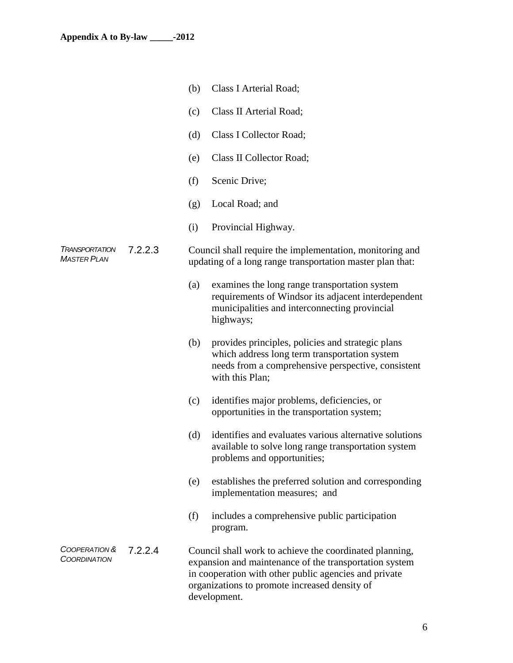|                                             |         | (b) | Class I Arterial Road;                                                                                                                                                                                                                      |
|---------------------------------------------|---------|-----|---------------------------------------------------------------------------------------------------------------------------------------------------------------------------------------------------------------------------------------------|
|                                             |         | (c) | Class II Arterial Road;                                                                                                                                                                                                                     |
|                                             |         | (d) | Class I Collector Road;                                                                                                                                                                                                                     |
|                                             |         | (e) | Class II Collector Road;                                                                                                                                                                                                                    |
|                                             |         | (f) | Scenic Drive;                                                                                                                                                                                                                               |
|                                             |         | (g) | Local Road; and                                                                                                                                                                                                                             |
|                                             |         | (i) | Provincial Highway.                                                                                                                                                                                                                         |
| <b>TRANSPORTATION</b><br><b>MASTER PLAN</b> | 7.2.2.3 |     | Council shall require the implementation, monitoring and<br>updating of a long range transportation master plan that:                                                                                                                       |
|                                             |         | (a) | examines the long range transportation system<br>requirements of Windsor its adjacent interdependent<br>municipalities and interconnecting provincial<br>highways;                                                                          |
|                                             |         | (b) | provides principles, policies and strategic plans<br>which address long term transportation system<br>needs from a comprehensive perspective, consistent<br>with this Plan;                                                                 |
|                                             |         | (c) | identifies major problems, deficiencies, or<br>opportunities in the transportation system;                                                                                                                                                  |
|                                             |         | (d) | identifies and evaluates various alternative solutions<br>available to solve long range transportation system<br>problems and opportunities;                                                                                                |
|                                             |         | (e) | establishes the preferred solution and corresponding<br>implementation measures; and                                                                                                                                                        |
|                                             |         | (f) | includes a comprehensive public participation<br>program.                                                                                                                                                                                   |
| COOPERATION &<br><b>COORDINATION</b>        | 7.2.2.4 |     | Council shall work to achieve the coordinated planning,<br>expansion and maintenance of the transportation system<br>in cooperation with other public agencies and private<br>organizations to promote increased density of<br>development. |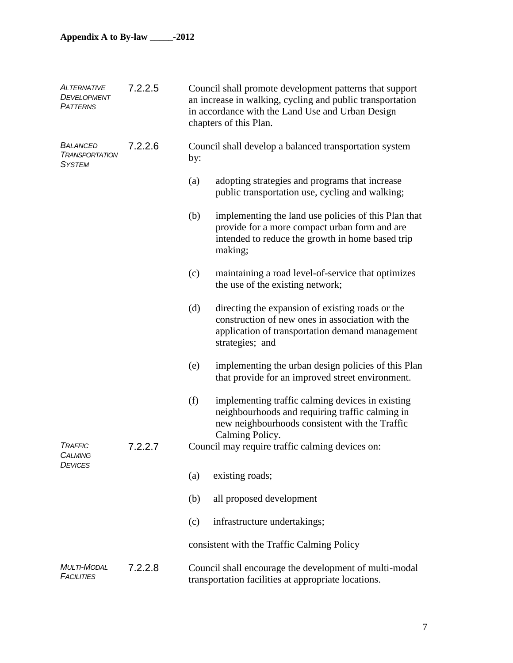| <b>ALTERNATIVE</b><br>DEVELOPMENT<br><b>PATTERNS</b>      | 7.2.2.5 | Council shall promote development patterns that support<br>an increase in walking, cycling and public transportation<br>in accordance with the Land Use and Urban Design<br>chapters of this Plan. |                                                                                                                                                                            |  |
|-----------------------------------------------------------|---------|----------------------------------------------------------------------------------------------------------------------------------------------------------------------------------------------------|----------------------------------------------------------------------------------------------------------------------------------------------------------------------------|--|
| <b>BALANCED</b><br><b>TRANSPORTATION</b><br><b>SYSTEM</b> | 7.2.2.6 | Council shall develop a balanced transportation system<br>by:                                                                                                                                      |                                                                                                                                                                            |  |
|                                                           |         | (a)                                                                                                                                                                                                | adopting strategies and programs that increase<br>public transportation use, cycling and walking;                                                                          |  |
|                                                           |         | (b)                                                                                                                                                                                                | implementing the land use policies of this Plan that<br>provide for a more compact urban form and are<br>intended to reduce the growth in home based trip<br>making;       |  |
|                                                           |         | (c)                                                                                                                                                                                                | maintaining a road level-of-service that optimizes<br>the use of the existing network;                                                                                     |  |
|                                                           |         | (d)                                                                                                                                                                                                | directing the expansion of existing roads or the<br>construction of new ones in association with the<br>application of transportation demand management<br>strategies; and |  |
|                                                           |         | (e)                                                                                                                                                                                                | implementing the urban design policies of this Plan<br>that provide for an improved street environment.                                                                    |  |
|                                                           |         | (f)                                                                                                                                                                                                | implementing traffic calming devices in existing<br>neighbourhoods and requiring traffic calming in<br>new neighbourhoods consistent with the Traffic<br>Calming Policy.   |  |
| <b>TRAFFIC</b><br><b>CALMING</b><br><b>DEVICES</b>        | 7.2.2.7 | Council may require traffic calming devices on:                                                                                                                                                    |                                                                                                                                                                            |  |
|                                                           |         | (a)                                                                                                                                                                                                | existing roads;                                                                                                                                                            |  |
|                                                           |         | (b)                                                                                                                                                                                                | all proposed development                                                                                                                                                   |  |
|                                                           |         | (c)                                                                                                                                                                                                | infrastructure undertakings;                                                                                                                                               |  |
|                                                           |         |                                                                                                                                                                                                    | consistent with the Traffic Calming Policy                                                                                                                                 |  |
| <b>MULTI-MODAL</b><br><b>FACILITIES</b>                   | 7.2.2.8 | Council shall encourage the development of multi-modal<br>transportation facilities at appropriate locations.                                                                                      |                                                                                                                                                                            |  |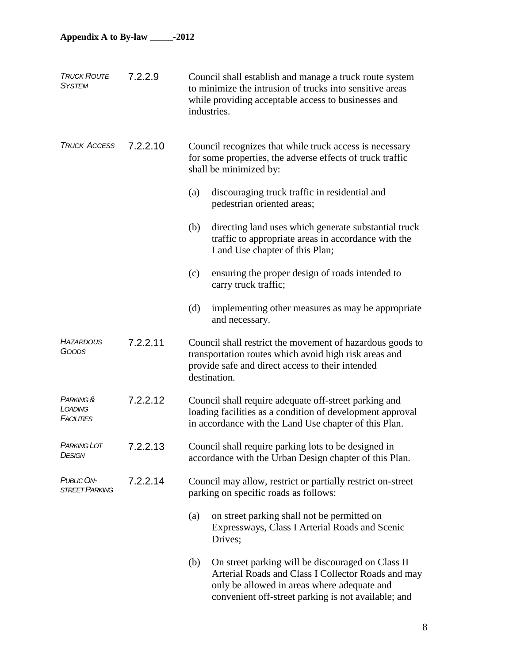| <b>TRUCK ROUTE</b><br><b>SYSTEM</b> | 7.2.2.9  | Council shall establish and manage a truck route system<br>to minimize the intrusion of trucks into sensitive areas<br>while providing acceptable access to businesses and<br>industries.                            |  |  |
|-------------------------------------|----------|----------------------------------------------------------------------------------------------------------------------------------------------------------------------------------------------------------------------|--|--|
| <b>TRUCK ACCESS</b>                 | 7.2.2.10 | Council recognizes that while truck access is necessary<br>for some properties, the adverse effects of truck traffic<br>shall be minimized by:                                                                       |  |  |
|                                     |          | discouraging truck traffic in residential and<br>(a)<br>pedestrian oriented areas;                                                                                                                                   |  |  |
|                                     |          | directing land uses which generate substantial truck<br>(b)<br>traffic to appropriate areas in accordance with the<br>Land Use chapter of this Plan;                                                                 |  |  |
|                                     |          | (c)<br>ensuring the proper design of roads intended to<br>carry truck traffic;                                                                                                                                       |  |  |
|                                     |          | implementing other measures as may be appropriate<br>(d)<br>and necessary.                                                                                                                                           |  |  |
| <b>HAZARDOUS</b><br>GOODS           | 7.2.2.11 | Council shall restrict the movement of hazardous goods to<br>transportation routes which avoid high risk areas and<br>provide safe and direct access to their intended<br>destination.                               |  |  |
| PARKING &<br>LOADING<br>FACILITIES  | 7.2.2.12 | Council shall require adequate off-street parking and<br>loading facilities as a condition of development approval<br>in accordance with the Land Use chapter of this Plan.                                          |  |  |
| <b>PARKING LOT</b><br><b>DESIGN</b> | 7.2.2.13 | Council shall require parking lots to be designed in<br>accordance with the Urban Design chapter of this Plan.                                                                                                       |  |  |
| PUBLIC ON-<br><b>STREET PARKING</b> | 7.2.2.14 | Council may allow, restrict or partially restrict on-street<br>parking on specific roads as follows:                                                                                                                 |  |  |
|                                     |          | on street parking shall not be permitted on<br>(a)<br>Expressways, Class I Arterial Roads and Scenic<br>Drives;                                                                                                      |  |  |
|                                     |          | On street parking will be discouraged on Class II<br>(b)<br>Arterial Roads and Class I Collector Roads and may<br>only be allowed in areas where adequate and<br>convenient off-street parking is not available; and |  |  |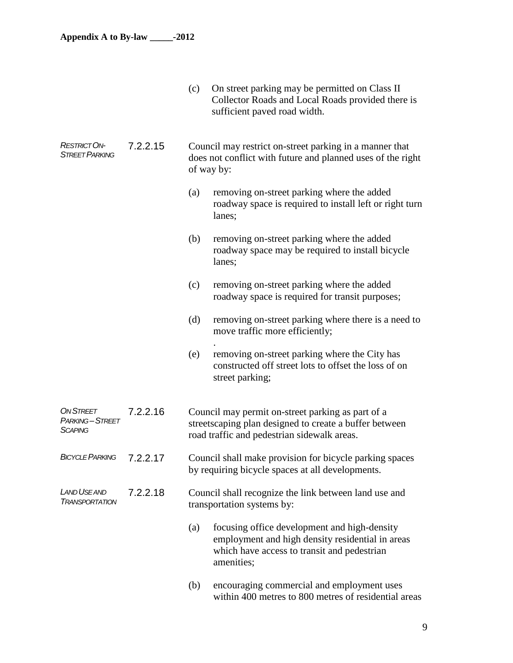|                                                      |          | (c)                                                                                                                                  | On street parking may be permitted on Class II<br>Collector Roads and Local Roads provided there is<br>sufficient paved road width.                           |  |  |
|------------------------------------------------------|----------|--------------------------------------------------------------------------------------------------------------------------------------|---------------------------------------------------------------------------------------------------------------------------------------------------------------|--|--|
| <b>RESTRICT ON-</b><br><b>STREET PARKING</b>         | 7.2.2.15 | Council may restrict on-street parking in a manner that<br>does not conflict with future and planned uses of the right<br>of way by: |                                                                                                                                                               |  |  |
|                                                      |          | (a)                                                                                                                                  | removing on-street parking where the added<br>roadway space is required to install left or right turn<br>lanes;                                               |  |  |
|                                                      |          | (b)                                                                                                                                  | removing on-street parking where the added<br>roadway space may be required to install bicycle<br>lanes;                                                      |  |  |
|                                                      |          | (c)                                                                                                                                  | removing on-street parking where the added<br>roadway space is required for transit purposes;                                                                 |  |  |
|                                                      |          | (d)                                                                                                                                  | removing on-street parking where there is a need to<br>move traffic more efficiently;                                                                         |  |  |
|                                                      |          | (e)                                                                                                                                  | removing on-street parking where the City has<br>constructed off street lots to offset the loss of on<br>street parking;                                      |  |  |
| <b>ON STREET</b><br>PARKING-STREET<br><b>SCAPING</b> | 7.2.2.16 |                                                                                                                                      | Council may permit on-street parking as part of a<br>streetscaping plan designed to create a buffer between<br>road traffic and pedestrian sidewalk areas.    |  |  |
| <b>BICYCLE PARKING</b>                               | 7.2.2.17 |                                                                                                                                      | Council shall make provision for bicycle parking spaces<br>by requiring bicycle spaces at all developments.                                                   |  |  |
| <b>LAND USE AND</b><br><b>TRANSPORTATION</b>         | 7.2.2.18 |                                                                                                                                      | Council shall recognize the link between land use and<br>transportation systems by:                                                                           |  |  |
|                                                      |          | (a)                                                                                                                                  | focusing office development and high-density<br>employment and high density residential in areas<br>which have access to transit and pedestrian<br>amenities; |  |  |
|                                                      |          | (b)                                                                                                                                  | encouraging commercial and employment uses<br>within 400 metres to 800 metres of residential areas                                                            |  |  |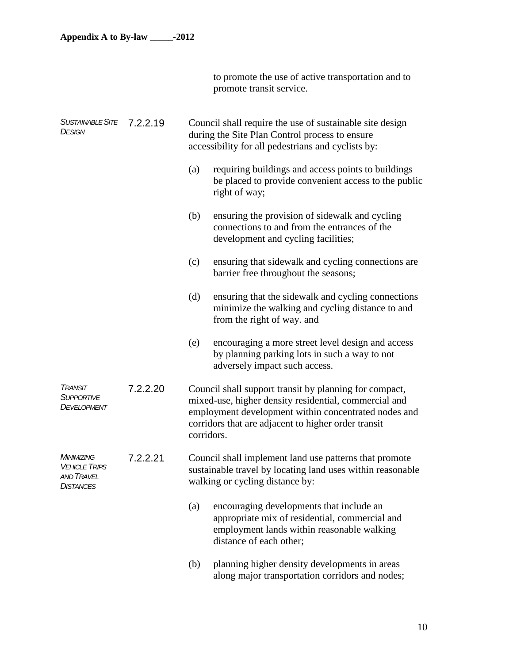to promote the use of active transportation and to promote transit service.

| <b>SUSTAINABLE SITE</b><br><b>DESIGN</b>                                    | 7.2.2.19 | Council shall require the use of sustainable site design<br>during the Site Plan Control process to ensure<br>accessibility for all pedestrians and cyclists by: |                                                                                                                                                                                                                                |  |
|-----------------------------------------------------------------------------|----------|------------------------------------------------------------------------------------------------------------------------------------------------------------------|--------------------------------------------------------------------------------------------------------------------------------------------------------------------------------------------------------------------------------|--|
|                                                                             |          | (a)                                                                                                                                                              | requiring buildings and access points to buildings<br>be placed to provide convenient access to the public<br>right of way;                                                                                                    |  |
|                                                                             |          | (b)                                                                                                                                                              | ensuring the provision of sidewalk and cycling<br>connections to and from the entrances of the<br>development and cycling facilities;                                                                                          |  |
|                                                                             |          | (c)                                                                                                                                                              | ensuring that sidewalk and cycling connections are<br>barrier free throughout the seasons;                                                                                                                                     |  |
|                                                                             |          | (d)                                                                                                                                                              | ensuring that the sidewalk and cycling connections<br>minimize the walking and cycling distance to and<br>from the right of way. and                                                                                           |  |
|                                                                             |          | (e)                                                                                                                                                              | encouraging a more street level design and access<br>by planning parking lots in such a way to not<br>adversely impact such access.                                                                                            |  |
| <b>TRANSIT</b><br><b>SUPPORTIVE</b><br>DEVELOPMENT                          | 7.2.2.20 | corridors.                                                                                                                                                       | Council shall support transit by planning for compact,<br>mixed-use, higher density residential, commercial and<br>employment development within concentrated nodes and<br>corridors that are adjacent to higher order transit |  |
| MINIMIZING<br><b>VEHICLE TRIPS</b><br><b>AND TRAVEL</b><br><b>DISTANCES</b> | 7.2.2.21 | Council shall implement land use patterns that promote<br>sustainable travel by locating land uses within reasonable<br>walking or cycling distance by:          |                                                                                                                                                                                                                                |  |
|                                                                             |          | (a)                                                                                                                                                              | encouraging developments that include an<br>appropriate mix of residential, commercial and<br>employment lands within reasonable walking<br>distance of each other;                                                            |  |
|                                                                             |          | (b)                                                                                                                                                              | planning higher density developments in areas<br>along major transportation corridors and nodes;                                                                                                                               |  |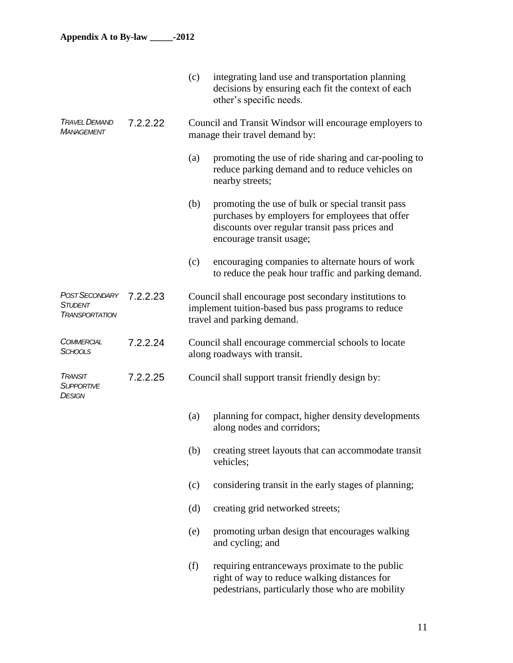|                                                    |          | (c)                                                                                       | integrating land use and transportation planning<br>decisions by ensuring each fit the context of each<br>other's specific needs.                                                  |
|----------------------------------------------------|----------|-------------------------------------------------------------------------------------------|------------------------------------------------------------------------------------------------------------------------------------------------------------------------------------|
| <b>TRAVEL DEMAND</b><br><b>MANAGEMENT</b>          | 7.2.2.22 | Council and Transit Windsor will encourage employers to<br>manage their travel demand by: |                                                                                                                                                                                    |
|                                                    |          | (a)                                                                                       | promoting the use of ride sharing and car-pooling to<br>reduce parking demand and to reduce vehicles on<br>nearby streets;                                                         |
|                                                    |          | (b)                                                                                       | promoting the use of bulk or special transit pass<br>purchases by employers for employees that offer<br>discounts over regular transit pass prices and<br>encourage transit usage; |
|                                                    |          | (c)                                                                                       | encouraging companies to alternate hours of work<br>to reduce the peak hour traffic and parking demand.                                                                            |
| POST SECONDARY<br>STUDENT<br><b>TRANSPORTATION</b> | 7.2.2.23 |                                                                                           | Council shall encourage post secondary institutions to<br>implement tuition-based bus pass programs to reduce<br>travel and parking demand.                                        |
| <b>COMMERCIAL</b><br><b>SCHOOLS</b>                | 7.2.2.24 |                                                                                           | Council shall encourage commercial schools to locate<br>along roadways with transit.                                                                                               |
| <b>TRANSIT</b><br>SUPPORTIVE<br>DESIGN             | 7.2.2.25 |                                                                                           | Council shall support transit friendly design by:                                                                                                                                  |
|                                                    |          | (a)                                                                                       | planning for compact, higher density developments<br>along nodes and corridors;                                                                                                    |
|                                                    |          | (b)                                                                                       | creating street layouts that can accommodate transit<br>vehicles;                                                                                                                  |
|                                                    |          | (c)                                                                                       | considering transit in the early stages of planning;                                                                                                                               |
|                                                    |          | (d)                                                                                       | creating grid networked streets;                                                                                                                                                   |
|                                                    |          | (e)                                                                                       | promoting urban design that encourages walking<br>and cycling; and                                                                                                                 |
|                                                    |          | (f)                                                                                       | requiring entranceways proximate to the public<br>right of way to reduce walking distances for<br>pedestrians, particularly those who are mobility                                 |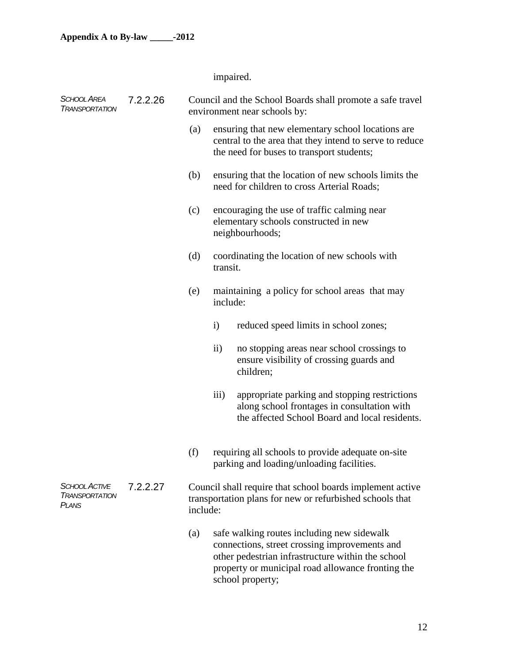impaired.

| <b>SCHOOL AREA</b><br><b>I RANSPORTATION</b>           | 7.2.2.26 |          |                  | Council and the School Boards shall promote a safe travel<br>environment near schools by:                                                                                                                                 |
|--------------------------------------------------------|----------|----------|------------------|---------------------------------------------------------------------------------------------------------------------------------------------------------------------------------------------------------------------------|
|                                                        |          | (a)      |                  | ensuring that new elementary school locations are<br>central to the area that they intend to serve to reduce<br>the need for buses to transport students;                                                                 |
|                                                        |          | (b)      |                  | ensuring that the location of new schools limits the<br>need for children to cross Arterial Roads;                                                                                                                        |
|                                                        |          | (c)      |                  | encouraging the use of traffic calming near<br>elementary schools constructed in new<br>neighbourhoods;                                                                                                                   |
|                                                        |          | (d)      | transit.         | coordinating the location of new schools with                                                                                                                                                                             |
|                                                        |          | (e)      | include:         | maintaining a policy for school areas that may                                                                                                                                                                            |
|                                                        |          |          | $\mathbf{i}$     | reduced speed limits in school zones;                                                                                                                                                                                     |
|                                                        |          |          | $\rm ii)$        | no stopping areas near school crossings to<br>ensure visibility of crossing guards and<br>children;                                                                                                                       |
|                                                        |          |          | $\overline{iii}$ | appropriate parking and stopping restrictions<br>along school frontages in consultation with<br>the affected School Board and local residents.                                                                            |
|                                                        |          | (f)      |                  | requiring all schools to provide adequate on-site<br>parking and loading/unloading facilities.                                                                                                                            |
| <b>SCHOOL ACTIVE</b><br><b>TRANSPORTATION</b><br>PLANS | 7.2.2.27 | include: |                  | Council shall require that school boards implement active<br>transportation plans for new or refurbished schools that                                                                                                     |
|                                                        |          | (a)      |                  | safe walking routes including new sidewalk<br>connections, street crossing improvements and<br>other pedestrian infrastructure within the school<br>property or municipal road allowance fronting the<br>school property; |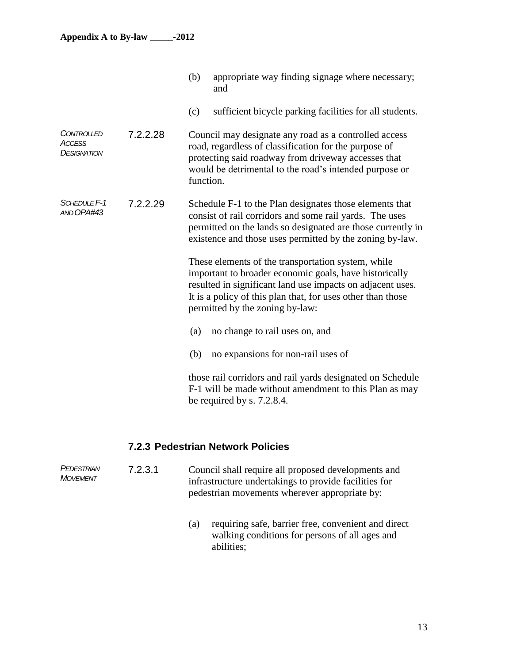|                                                          |          | (b)<br>appropriate way finding signage where necessary;<br>and                                                                                                                                                                                                               |  |
|----------------------------------------------------------|----------|------------------------------------------------------------------------------------------------------------------------------------------------------------------------------------------------------------------------------------------------------------------------------|--|
|                                                          |          | sufficient bicycle parking facilities for all students.<br>(c)                                                                                                                                                                                                               |  |
| <b>CONTROLLED</b><br><b>ACCESS</b><br><b>DESIGNATION</b> | 7.2.2.28 | Council may designate any road as a controlled access<br>road, regardless of classification for the purpose of<br>protecting said roadway from driveway accesses that<br>would be detrimental to the road's intended purpose or<br>function.                                 |  |
| SCHEDULE <sub>F-1</sub><br>7.2.2.29<br>AND OPA#43        |          | Schedule F-1 to the Plan designates those elements that<br>consist of rail corridors and some rail yards. The uses<br>permitted on the lands so designated are those currently in<br>existence and those uses permitted by the zoning by-law.                                |  |
|                                                          |          | These elements of the transportation system, while<br>important to broader economic goals, have historically<br>resulted in significant land use impacts on adjacent uses.<br>It is a policy of this plan that, for uses other than those<br>permitted by the zoning by-law: |  |
|                                                          |          | no change to rail uses on, and<br>(a)                                                                                                                                                                                                                                        |  |
|                                                          |          | no expansions for non-rail uses of<br>(b)                                                                                                                                                                                                                                    |  |
|                                                          |          | those rail corridors and rail yards designated on Schedule<br>F-1 will be made without amendment to this Plan as may<br>be required by s. $7.2.8.4$ .                                                                                                                        |  |

#### **7.2.3 Pedestrian Network Policies**

*PEDESTRIAN MOVEMENT* 7.2.3.1 Council shall require all proposed developments and infrastructure undertakings to provide facilities for pedestrian movements wherever appropriate by:

> (a) requiring safe, barrier free, convenient and direct walking conditions for persons of all ages and abilities;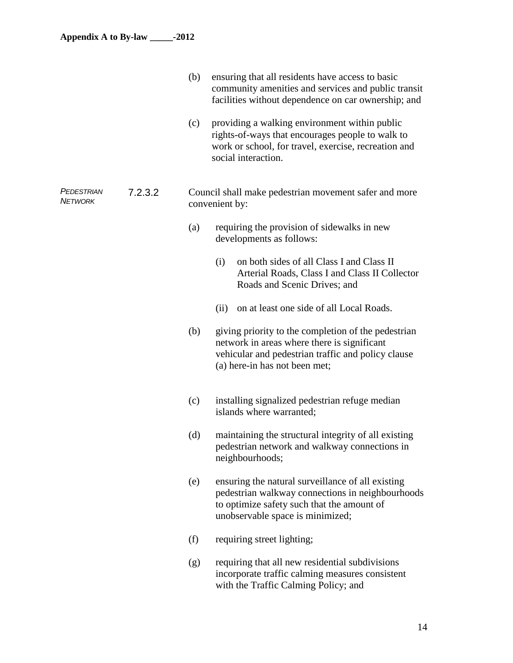|                       |         | (b) | ensuring that all residents have access to basic<br>community amenities and services and public transit<br>facilities without dependence on car ownership; and                            |  |  |
|-----------------------|---------|-----|-------------------------------------------------------------------------------------------------------------------------------------------------------------------------------------------|--|--|
|                       |         | (c) | providing a walking environment within public<br>rights-of-ways that encourages people to walk to<br>work or school, for travel, exercise, recreation and<br>social interaction.          |  |  |
| PEDESTRIAN<br>Network | 7.2.3.2 |     | Council shall make pedestrian movement safer and more<br>convenient by:                                                                                                                   |  |  |
|                       |         | (a) | requiring the provision of sidewalks in new<br>developments as follows:                                                                                                                   |  |  |
|                       |         |     | on both sides of all Class I and Class II<br>(i)<br>Arterial Roads, Class I and Class II Collector<br>Roads and Scenic Drives; and                                                        |  |  |
|                       |         |     | on at least one side of all Local Roads.<br>(ii)                                                                                                                                          |  |  |
|                       |         | (b) | giving priority to the completion of the pedestrian<br>network in areas where there is significant<br>vehicular and pedestrian traffic and policy clause<br>(a) here-in has not been met; |  |  |
|                       |         | (c) | installing signalized pedestrian refuge median<br>islands where warranted;                                                                                                                |  |  |
|                       |         | (d) | maintaining the structural integrity of all existing<br>pedestrian network and walkway connections in<br>neighbourhoods;                                                                  |  |  |
|                       |         | (e) | ensuring the natural surveillance of all existing<br>pedestrian walkway connections in neighbourhoods<br>to optimize safety such that the amount of<br>unobservable space is minimized;   |  |  |
|                       |         | (f) | requiring street lighting;                                                                                                                                                                |  |  |
|                       |         | (g) | requiring that all new residential subdivisions<br>incorporate traffic calming measures consistent<br>with the Traffic Calming Policy; and                                                |  |  |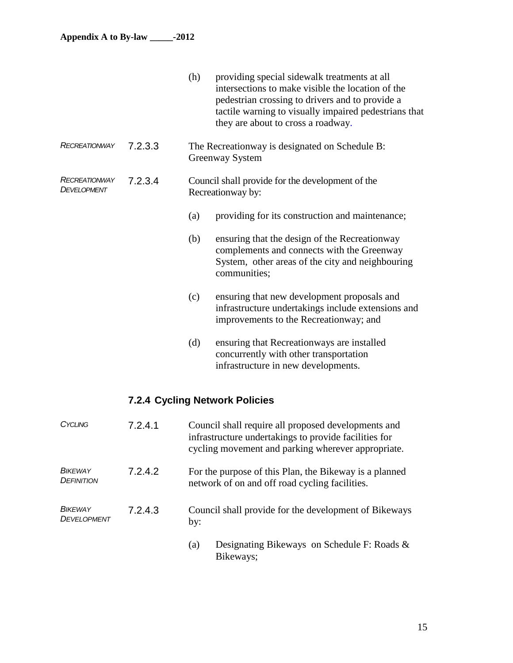|                                                |         | (h) | providing special sidewalk treatments at all<br>intersections to make visible the location of the<br>pedestrian crossing to drivers and to provide a<br>tactile warning to visually impaired pedestrians that<br>they are about to cross a roadway. |
|------------------------------------------------|---------|-----|-----------------------------------------------------------------------------------------------------------------------------------------------------------------------------------------------------------------------------------------------------|
| <b>RECREATIONWAY</b>                           | 7.2.3.3 |     | The Recreationway is designated on Schedule B:<br>Greenway System                                                                                                                                                                                   |
| <b>RECREATIONWAY</b><br>7.2.3.4<br>DEVELOPMENT |         |     | Council shall provide for the development of the<br>Recreationway by:                                                                                                                                                                               |
|                                                |         | (a) | providing for its construction and maintenance;                                                                                                                                                                                                     |
|                                                |         | (b) | ensuring that the design of the Recreationway<br>complements and connects with the Greenway<br>System, other areas of the city and neighbouring<br>communities;                                                                                     |
|                                                |         | (c) | ensuring that new development proposals and<br>infrastructure undertakings include extensions and<br>improvements to the Recreationway; and                                                                                                         |
|                                                |         | (d) | ensuring that Recreationways are installed<br>concurrently with other transportation<br>infrastructure in new developments.                                                                                                                         |

## **7.2.4 Cycling Network Policies**

| CYCLING                              | 7.2.4.1 | Council shall require all proposed developments and<br>infrastructure undertakings to provide facilities for<br>cycling movement and parking wherever appropriate. |
|--------------------------------------|---------|--------------------------------------------------------------------------------------------------------------------------------------------------------------------|
| <b>BIKEWAY</b><br><b>DEFINITION</b>  | 7.2.4.2 | For the purpose of this Plan, the Bikeway is a planned<br>network of on and off road cycling facilities.                                                           |
| <b>BIKEWAY</b><br><b>DEVELOPMENT</b> | 7.2.4.3 | Council shall provide for the development of Bikeways<br>by:                                                                                                       |
|                                      |         | Designating Bikeways on Schedule F: Roads &<br>(a)<br>Bikeways;                                                                                                    |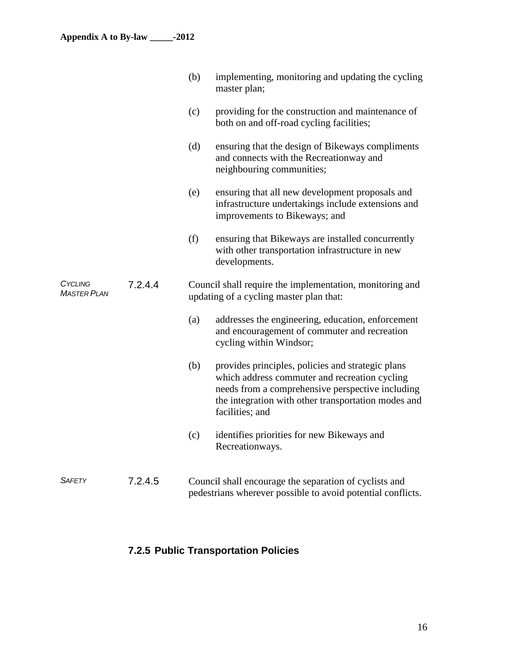|                        |         | (b) | implementing, monitoring and updating the cycling<br>master plan;                                                                                                                                                                |
|------------------------|---------|-----|----------------------------------------------------------------------------------------------------------------------------------------------------------------------------------------------------------------------------------|
|                        |         | (c) | providing for the construction and maintenance of<br>both on and off-road cycling facilities;                                                                                                                                    |
|                        |         | (d) | ensuring that the design of Bikeways compliments<br>and connects with the Recreationway and<br>neighbouring communities;                                                                                                         |
|                        |         | (e) | ensuring that all new development proposals and<br>infrastructure undertakings include extensions and<br>improvements to Bikeways; and                                                                                           |
|                        |         | (f) | ensuring that Bikeways are installed concurrently<br>with other transportation infrastructure in new<br>developments.                                                                                                            |
| CYCLING<br>MASTER PLAN | 7.2.4.4 |     | Council shall require the implementation, monitoring and<br>updating of a cycling master plan that:                                                                                                                              |
|                        |         | (a) | addresses the engineering, education, enforcement<br>and encouragement of commuter and recreation<br>cycling within Windsor;                                                                                                     |
|                        |         | (b) | provides principles, policies and strategic plans<br>which address commuter and recreation cycling<br>needs from a comprehensive perspective including<br>the integration with other transportation modes and<br>facilities; and |
|                        |         | (c) | identifies priorities for new Bikeways and<br>Recreationways.                                                                                                                                                                    |
| <b>SAFETY</b>          | 7.2.4.5 |     | Council shall encourage the separation of cyclists and<br>pedestrians wherever possible to avoid potential conflicts.                                                                                                            |

## **7.2.5 Public Transportation Policies**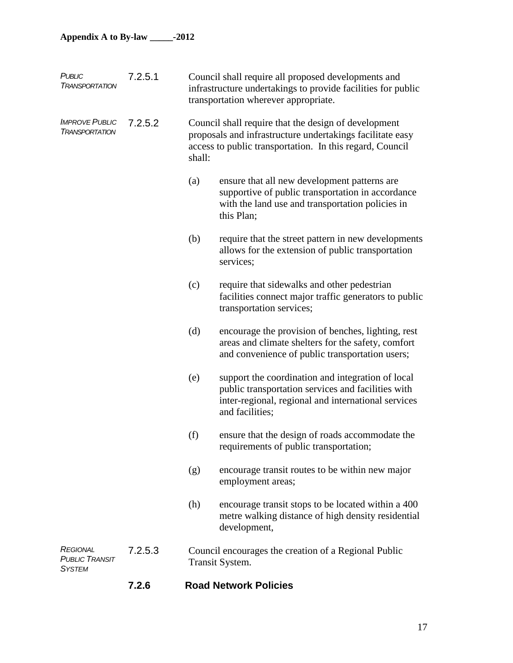| PUBLIC<br><b>TRANSPORTATION</b>                           | 7.2.5.1 | Council shall require all proposed developments and<br>infrastructure undertakings to provide facilities for public<br>transportation wherever appropriate.                             |                                                                                                                                                                                   |  |
|-----------------------------------------------------------|---------|-----------------------------------------------------------------------------------------------------------------------------------------------------------------------------------------|-----------------------------------------------------------------------------------------------------------------------------------------------------------------------------------|--|
| <b>IMPROVE PUBLIC</b><br><b>TRANSPORTATION</b>            | 7.2.5.2 | Council shall require that the design of development<br>proposals and infrastructure undertakings facilitate easy<br>access to public transportation. In this regard, Council<br>shall: |                                                                                                                                                                                   |  |
|                                                           |         | (a)                                                                                                                                                                                     | ensure that all new development patterns are<br>supportive of public transportation in accordance<br>with the land use and transportation policies in<br>this Plan;               |  |
|                                                           |         | (b)                                                                                                                                                                                     | require that the street pattern in new developments<br>allows for the extension of public transportation<br>services;                                                             |  |
|                                                           |         | (c)                                                                                                                                                                                     | require that sidewalks and other pedestrian<br>facilities connect major traffic generators to public<br>transportation services;                                                  |  |
|                                                           |         | (d)                                                                                                                                                                                     | encourage the provision of benches, lighting, rest<br>areas and climate shelters for the safety, comfort<br>and convenience of public transportation users;                       |  |
|                                                           |         | (e)                                                                                                                                                                                     | support the coordination and integration of local<br>public transportation services and facilities with<br>inter-regional, regional and international services<br>and facilities; |  |
|                                                           |         | (f)                                                                                                                                                                                     | ensure that the design of roads accommodate the<br>requirements of public transportation;                                                                                         |  |
|                                                           |         | (g)                                                                                                                                                                                     | encourage transit routes to be within new major<br>employment areas;                                                                                                              |  |
|                                                           |         | (h)                                                                                                                                                                                     | encourage transit stops to be located within a 400<br>metre walking distance of high density residential<br>development,                                                          |  |
| <b>REGIONAL</b><br><b>PUBLIC TRANSIT</b><br><b>SYSTEM</b> | 7.2.5.3 |                                                                                                                                                                                         | Council encourages the creation of a Regional Public<br>Transit System.                                                                                                           |  |

#### **7.2.6 Road Network Policies**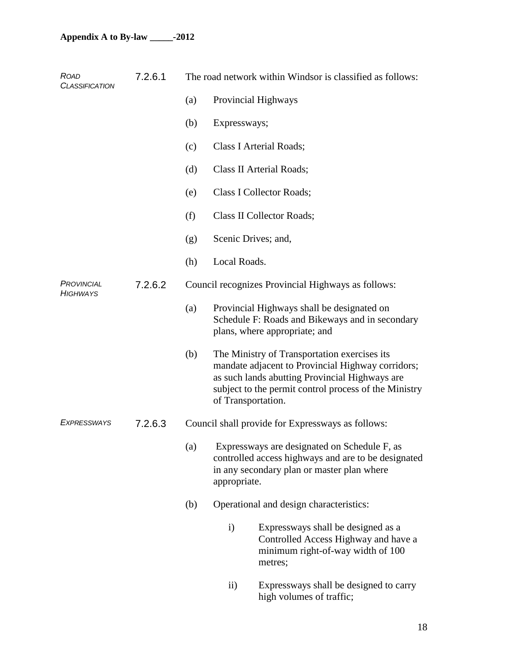| <b>ROAD</b><br><b>CLASSIFICATION</b> | 7.2.6.1 | The road network within Windsor is classified as follows: |                                                    |                                                                                                                                                                                                                                    |  |  |  |
|--------------------------------------|---------|-----------------------------------------------------------|----------------------------------------------------|------------------------------------------------------------------------------------------------------------------------------------------------------------------------------------------------------------------------------------|--|--|--|
|                                      |         | (a)                                                       |                                                    | Provincial Highways                                                                                                                                                                                                                |  |  |  |
|                                      |         | (b)                                                       | Expressways;                                       |                                                                                                                                                                                                                                    |  |  |  |
|                                      |         | (c)                                                       |                                                    | Class I Arterial Roads;                                                                                                                                                                                                            |  |  |  |
|                                      |         | (d)                                                       |                                                    | Class II Arterial Roads;                                                                                                                                                                                                           |  |  |  |
|                                      |         | (e)                                                       |                                                    | Class I Collector Roads;                                                                                                                                                                                                           |  |  |  |
|                                      |         | (f)                                                       |                                                    | Class II Collector Roads;                                                                                                                                                                                                          |  |  |  |
|                                      |         | (g)                                                       |                                                    | Scenic Drives; and,                                                                                                                                                                                                                |  |  |  |
|                                      |         | (h)                                                       | Local Roads.                                       |                                                                                                                                                                                                                                    |  |  |  |
| PROVINCIAL<br><b>HIGHWAYS</b>        | 7.2.6.2 |                                                           | Council recognizes Provincial Highways as follows: |                                                                                                                                                                                                                                    |  |  |  |
|                                      |         | (a)                                                       |                                                    | Provincial Highways shall be designated on<br>Schedule F: Roads and Bikeways and in secondary<br>plans, where appropriate; and                                                                                                     |  |  |  |
|                                      |         | (b)                                                       |                                                    | The Ministry of Transportation exercises its<br>mandate adjacent to Provincial Highway corridors;<br>as such lands abutting Provincial Highways are<br>subject to the permit control process of the Ministry<br>of Transportation. |  |  |  |
| <b>EXPRESSWAYS</b>                   | 7.2.6.3 |                                                           |                                                    | Council shall provide for Expressways as follows:                                                                                                                                                                                  |  |  |  |
|                                      |         | (a)                                                       | appropriate.                                       | Expressways are designated on Schedule F, as<br>controlled access highways and are to be designated<br>in any secondary plan or master plan where                                                                                  |  |  |  |
|                                      |         | (b)                                                       |                                                    | Operational and design characteristics:                                                                                                                                                                                            |  |  |  |
|                                      |         |                                                           | $\mathbf{i}$                                       | Expressways shall be designed as a<br>Controlled Access Highway and have a<br>minimum right-of-way width of 100<br>metres;                                                                                                         |  |  |  |
|                                      |         |                                                           | $\rm ii)$                                          | Expressways shall be designed to carry<br>high volumes of traffic;                                                                                                                                                                 |  |  |  |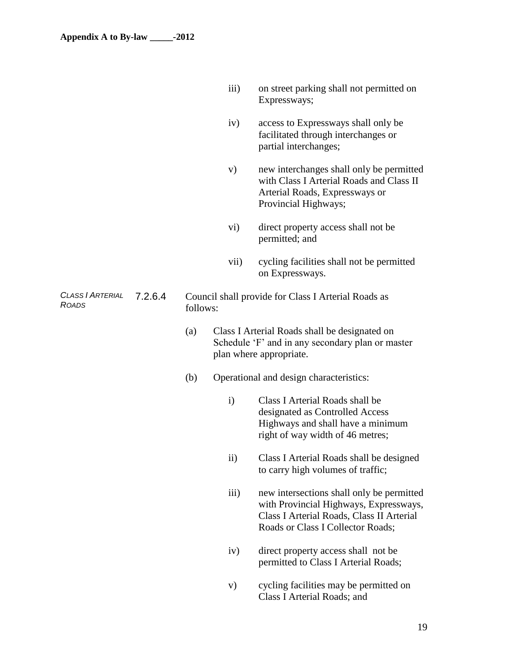|                                         |         |     |                                                                                                                              | Expressways;                                                                                                                                   |  |  |  |
|-----------------------------------------|---------|-----|------------------------------------------------------------------------------------------------------------------------------|------------------------------------------------------------------------------------------------------------------------------------------------|--|--|--|
|                                         |         |     | iv)                                                                                                                          | access to Expressways shall only be<br>facilitated through interchanges or<br>partial interchanges;                                            |  |  |  |
|                                         |         |     | V)                                                                                                                           | new interchanges shall only be permitted<br>with Class I Arterial Roads and Class II<br>Arterial Roads, Expressways or<br>Provincial Highways; |  |  |  |
|                                         |         |     | vi)                                                                                                                          | direct property access shall not be<br>permitted; and                                                                                          |  |  |  |
|                                         |         |     | vii)                                                                                                                         | cycling facilities shall not be permitted<br>on Expressways.                                                                                   |  |  |  |
| <b>CLASS   ARTERIAL</b><br><b>ROADS</b> | 7.2.6.4 |     | Council shall provide for Class I Arterial Roads as<br>follows:                                                              |                                                                                                                                                |  |  |  |
|                                         |         | (a) | Class I Arterial Roads shall be designated on<br>Schedule 'F' and in any secondary plan or master<br>plan where appropriate. |                                                                                                                                                |  |  |  |
|                                         |         | (b) |                                                                                                                              | Operational and design characteristics:                                                                                                        |  |  |  |
|                                         |         |     | $\mathbf{i}$                                                                                                                 | Class I Arterial Roads shall be<br>designated as Controlled Access<br>Highways and shall have a minimum<br>right of way width of 46 metres;    |  |  |  |
|                                         |         |     | $\rm ii)$                                                                                                                    | Class I Arterial Roads shall be designed<br>to carry high volumes of traffic;                                                                  |  |  |  |
|                                         |         |     | iii)                                                                                                                         | new intersections shall only be permitted                                                                                                      |  |  |  |

with Provincial Highways, Expressways, Class I Arterial Roads, Class II Arterial Roads or Class I Collector Roads;

iii) on street parking shall not permitted on

- iv) direct property access shall not be permitted to Class I Arterial Roads;
- v) cycling facilities may be permitted on Class I Arterial Roads; and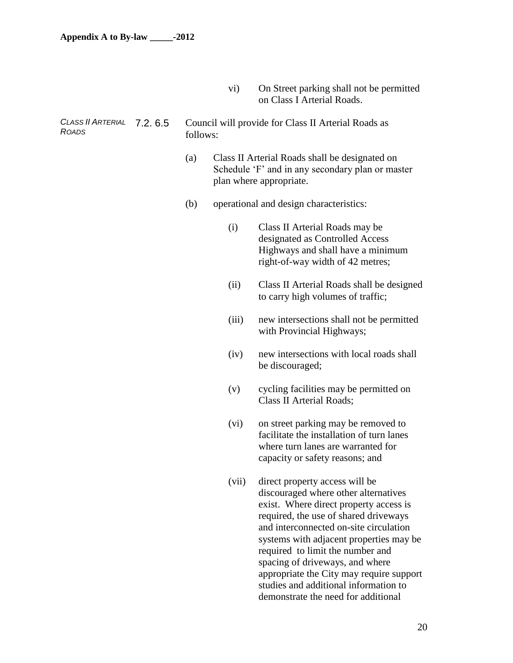vi) On Street parking shall not be permitted on Class I Arterial Roads.

#### *CLASS II ARTERIAL ROADS* 7.2. 6.5 Council will provide for Class II Arterial Roads as follows:

- (a) Class II Arterial Roads shall be designated on Schedule 'F' and in any secondary plan or master plan where appropriate.
- (b) operational and design characteristics:
	- (i) Class II Arterial Roads may be designated as Controlled Access Highways and shall have a minimum right-of-way width of 42 metres;
	- (ii) Class II Arterial Roads shall be designed to carry high volumes of traffic;
	- (iii) new intersections shall not be permitted with Provincial Highways;
	- (iv) new intersections with local roads shall be discouraged;
	- (v) cycling facilities may be permitted on Class II Arterial Roads;
	- (vi) on street parking may be removed to facilitate the installation of turn lanes where turn lanes are warranted for capacity or safety reasons; and
	- (vii) direct property access will be discouraged where other alternatives exist. Where direct property access is required, the use of shared driveways and interconnected on-site circulation systems with adjacent properties may be required to limit the number and spacing of driveways, and where appropriate the City may require support studies and additional information to demonstrate the need for additional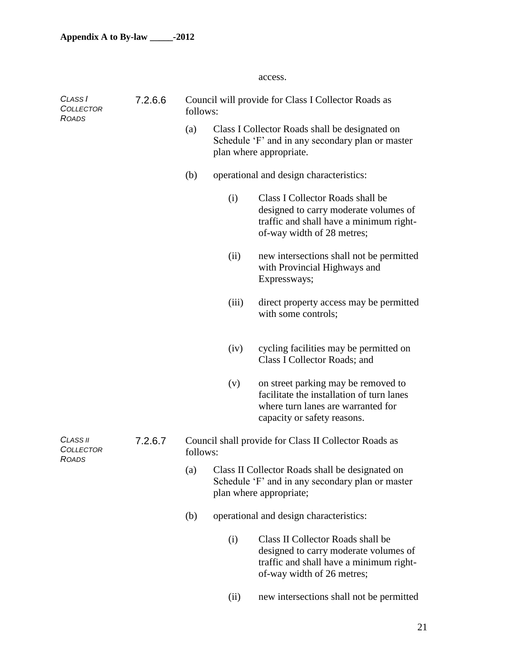access.

| CLASS I<br><b>COLLECTOR</b><br><b>ROADS</b> | 7.2.6.6 | Council will provide for Class I Collector Roads as<br>follows:                                                                       |                                                                                                                               |                                                                                                                                                       |  |  |
|---------------------------------------------|---------|---------------------------------------------------------------------------------------------------------------------------------------|-------------------------------------------------------------------------------------------------------------------------------|-------------------------------------------------------------------------------------------------------------------------------------------------------|--|--|
|                                             |         | (a)                                                                                                                                   | Class I Collector Roads shall be designated on<br>Schedule 'F' and in any secondary plan or master<br>plan where appropriate. |                                                                                                                                                       |  |  |
|                                             |         | (b)                                                                                                                                   |                                                                                                                               | operational and design characteristics:                                                                                                               |  |  |
|                                             |         |                                                                                                                                       | (i)                                                                                                                           | Class I Collector Roads shall be<br>designed to carry moderate volumes of<br>traffic and shall have a minimum right-<br>of-way width of 28 metres;    |  |  |
|                                             |         |                                                                                                                                       | (ii)                                                                                                                          | new intersections shall not be permitted<br>with Provincial Highways and<br>Expressways;                                                              |  |  |
|                                             |         |                                                                                                                                       | (iii)                                                                                                                         | direct property access may be permitted<br>with some controls;                                                                                        |  |  |
|                                             |         |                                                                                                                                       | (iv)                                                                                                                          | cycling facilities may be permitted on<br>Class I Collector Roads; and                                                                                |  |  |
|                                             |         |                                                                                                                                       | (v)                                                                                                                           | on street parking may be removed to<br>facilitate the installation of turn lanes<br>where turn lanes are warranted for<br>capacity or safety reasons. |  |  |
| CLASS II<br>COLLECTOR                       | 7.2.6.7 | Council shall provide for Class II Collector Roads as<br>follows:                                                                     |                                                                                                                               |                                                                                                                                                       |  |  |
| <b>ROADS</b>                                |         | Class II Collector Roads shall be designated on<br>(a)<br>Schedule 'F' and in any secondary plan or master<br>plan where appropriate; |                                                                                                                               |                                                                                                                                                       |  |  |
|                                             |         | (b)                                                                                                                                   |                                                                                                                               | operational and design characteristics:                                                                                                               |  |  |
|                                             |         |                                                                                                                                       | (i)                                                                                                                           | Class II Collector Roads shall be<br>designed to carry moderate volumes of<br>traffic and shall have a minimum right-<br>of-way width of 26 metres;   |  |  |
|                                             |         |                                                                                                                                       | (ii)                                                                                                                          | new intersections shall not be permitted                                                                                                              |  |  |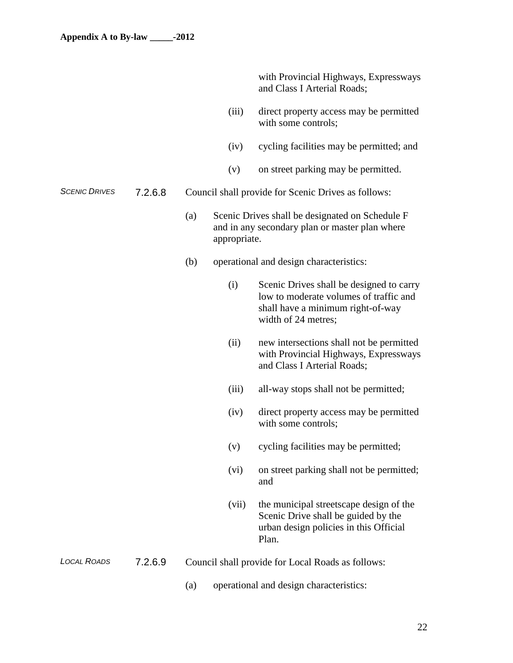with Provincial Highways, Expressways and Class I Arterial Roads;

- (iii) direct property access may be permitted with some controls;
- (iv) cycling facilities may be permitted; and
- (v) on street parking may be permitted.
- *SCENIC DRIVES* 7.2.6.8 Council shall provide for Scenic Drives as follows:
	- (a) Scenic Drives shall be designated on Schedule F and in any secondary plan or master plan where appropriate.
	- (b) operational and design characteristics:
		- (i) Scenic Drives shall be designed to carry low to moderate volumes of traffic and shall have a minimum right-of-way width of 24 metres;
		- (ii) new intersections shall not be permitted with Provincial Highways, Expressways and Class I Arterial Roads;
		- (iii) all-way stops shall not be permitted;
		- (iv) direct property access may be permitted with some controls;
		- (v) cycling facilities may be permitted;
		- (vi) on street parking shall not be permitted; and
		- (vii) the municipal streetscape design of the Scenic Drive shall be guided by the urban design policies in this Official Plan.

#### *LOCAL ROADS* 7.2.6.9 Council shall provide for Local Roads as follows:

(a) operational and design characteristics:

22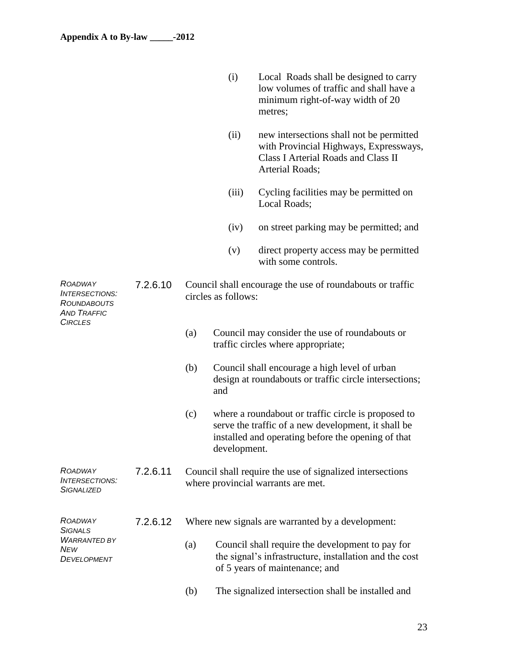*ROADWAY INTERSECTIONS: ROUNDABOUTS AND TRAFFIC CIRCLES*

- (i) Local Roads shall be designed to carry low volumes of traffic and shall have a minimum right-of-way width of 20 metres;
- (ii) new intersections shall not be permitted with Provincial Highways, Expressways, Class I Arterial Roads and Class II Arterial Roads;
- (iii) Cycling facilities may be permitted on Local Roads;
- (iv) on street parking may be permitted; and
- (v) direct property access may be permitted with some controls.

#### 7.2.6.10 Council shall encourage the use of roundabouts or traffic circles as follows:

- (a) Council may consider the use of roundabouts or traffic circles where appropriate;
- (b) Council shall encourage a high level of urban design at roundabouts or traffic circle intersections; and
- (c) where a roundabout or traffic circle is proposed to serve the traffic of a new development, it shall be installed and operating before the opening of that development.
- *ROADWAY INTERSECTIONS: SIGNALIZED* 7.2.6.11 Council shall require the use of signalized intersections where provincial warrants are met.
- *ROADWAY SIGNALS*  7.2.6.12 Where new signals are warranted by a development:
- *WARRANTED BY NEW DEVELOPMENT* (a) Council shall require the development to pay for the signal's infrastructure, installation and the cost of 5 years of maintenance; and
	- (b) The signalized intersection shall be installed and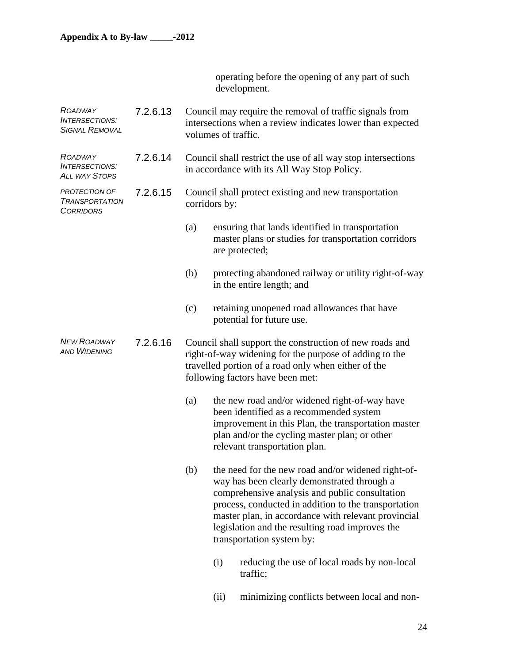operating before the opening of any part of such development.

| ROADWAY<br><b>INTERSECTIONS:</b><br><b>SIGNAL REMOVAL</b>  | 7.2.6.13 | Council may require the removal of traffic signals from<br>intersections when a review indicates lower than expected<br>volumes of traffic.                                                                  |               |                                                                                                                                                                                                                                                                                                                                                    |
|------------------------------------------------------------|----------|--------------------------------------------------------------------------------------------------------------------------------------------------------------------------------------------------------------|---------------|----------------------------------------------------------------------------------------------------------------------------------------------------------------------------------------------------------------------------------------------------------------------------------------------------------------------------------------------------|
| ROADWAY<br><b>INTERSECTIONS:</b><br>ALL WAY STOPS          | 7.2.6.14 | Council shall restrict the use of all way stop intersections<br>in accordance with its All Way Stop Policy.                                                                                                  |               |                                                                                                                                                                                                                                                                                                                                                    |
| PROTECTION OF<br><b>TRANSPORTATION</b><br><b>CORRIDORS</b> | 7.2.6.15 |                                                                                                                                                                                                              | corridors by: | Council shall protect existing and new transportation                                                                                                                                                                                                                                                                                              |
|                                                            |          | (a)                                                                                                                                                                                                          |               | ensuring that lands identified in transportation<br>master plans or studies for transportation corridors<br>are protected;                                                                                                                                                                                                                         |
|                                                            |          | (b)                                                                                                                                                                                                          |               | protecting abandoned railway or utility right-of-way<br>in the entire length; and                                                                                                                                                                                                                                                                  |
|                                                            |          | (c)                                                                                                                                                                                                          |               | retaining unopened road allowances that have<br>potential for future use.                                                                                                                                                                                                                                                                          |
| <b>NEW ROADWAY</b><br><b>AND WIDENING</b>                  | 7.2.6.16 | Council shall support the construction of new roads and<br>right-of-way widening for the purpose of adding to the<br>travelled portion of a road only when either of the<br>following factors have been met: |               |                                                                                                                                                                                                                                                                                                                                                    |
|                                                            |          | (a)                                                                                                                                                                                                          |               | the new road and/or widened right-of-way have<br>been identified as a recommended system<br>improvement in this Plan, the transportation master<br>plan and/or the cycling master plan; or other<br>relevant transportation plan.                                                                                                                  |
|                                                            |          | (b)                                                                                                                                                                                                          |               | the need for the new road and/or widened right-of-<br>way has been clearly demonstrated through a<br>comprehensive analysis and public consultation<br>process, conducted in addition to the transportation<br>master plan, in accordance with relevant provincial<br>legislation and the resulting road improves the<br>transportation system by: |
|                                                            |          |                                                                                                                                                                                                              | (i)           | reducing the use of local roads by non-local<br>traffic;                                                                                                                                                                                                                                                                                           |
|                                                            |          |                                                                                                                                                                                                              | (ii)          | minimizing conflicts between local and non-                                                                                                                                                                                                                                                                                                        |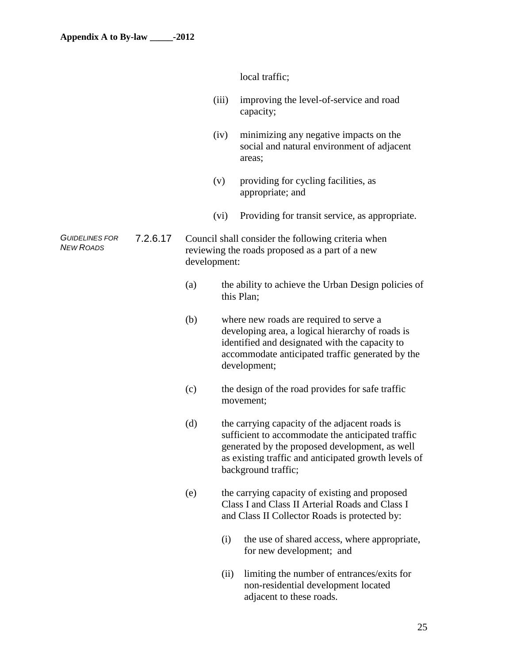local traffic;

- (iii) improving the level-of-service and road capacity;
- (iv) minimizing any negative impacts on the social and natural environment of adjacent areas;
- (v) providing for cycling facilities, as appropriate; and
- (vi) Providing for transit service, as appropriate.
- *GUIDELINES FOR*  7.2.6.17 Council shall consider the following criteria when reviewing the roads proposed as a part of a new development:
	- (a) the ability to achieve the Urban Design policies of this Plan;
	- (b) where new roads are required to serve a developing area, a logical hierarchy of roads is identified and designated with the capacity to accommodate anticipated traffic generated by the development;
	- (c) the design of the road provides for safe traffic movement;
	- (d) the carrying capacity of the adjacent roads is sufficient to accommodate the anticipated traffic generated by the proposed development, as well as existing traffic and anticipated growth levels of background traffic;
	- (e) the carrying capacity of existing and proposed Class I and Class II Arterial Roads and Class I and Class II Collector Roads is protected by:
		- (i) the use of shared access, where appropriate, for new development; and
		- (ii) limiting the number of entrances/exits for non-residential development located adjacent to these roads.

*NEW ROADS*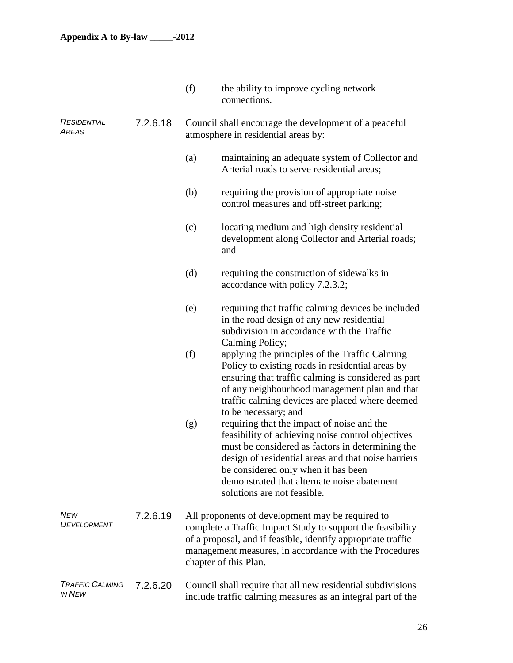|                                  |          | (f)                                                                                                                                                                                                                                                               | the ability to improve cycling network<br>connections.                                                                                                                                                                                                                                                                          |  |  |
|----------------------------------|----------|-------------------------------------------------------------------------------------------------------------------------------------------------------------------------------------------------------------------------------------------------------------------|---------------------------------------------------------------------------------------------------------------------------------------------------------------------------------------------------------------------------------------------------------------------------------------------------------------------------------|--|--|
| RESIDENTIAL<br>AREAS             | 7.2.6.18 | Council shall encourage the development of a peaceful<br>atmosphere in residential areas by:                                                                                                                                                                      |                                                                                                                                                                                                                                                                                                                                 |  |  |
|                                  |          | (a)                                                                                                                                                                                                                                                               | maintaining an adequate system of Collector and<br>Arterial roads to serve residential areas;                                                                                                                                                                                                                                   |  |  |
|                                  |          | (b)                                                                                                                                                                                                                                                               | requiring the provision of appropriate noise<br>control measures and off-street parking;                                                                                                                                                                                                                                        |  |  |
|                                  |          | (c)                                                                                                                                                                                                                                                               | locating medium and high density residential<br>development along Collector and Arterial roads;<br>and                                                                                                                                                                                                                          |  |  |
|                                  |          | (d)                                                                                                                                                                                                                                                               | requiring the construction of sidewalks in<br>accordance with policy 7.2.3.2;                                                                                                                                                                                                                                                   |  |  |
|                                  |          | (e)                                                                                                                                                                                                                                                               | requiring that traffic calming devices be included<br>in the road design of any new residential<br>subdivision in accordance with the Traffic<br>Calming Policy;                                                                                                                                                                |  |  |
|                                  |          | (f)                                                                                                                                                                                                                                                               | applying the principles of the Traffic Calming<br>Policy to existing roads in residential areas by<br>ensuring that traffic calming is considered as part<br>of any neighbourhood management plan and that<br>traffic calming devices are placed where deemed<br>to be necessary; and                                           |  |  |
|                                  |          | (g)                                                                                                                                                                                                                                                               | requiring that the impact of noise and the<br>feasibility of achieving noise control objectives<br>must be considered as factors in determining the<br>design of residential areas and that noise barriers<br>be considered only when it has been<br>demonstrated that alternate noise abatement<br>solutions are not feasible. |  |  |
| NEw<br><i>DEVELOPMENT</i>        | 7.2.6.19 | All proponents of development may be required to<br>complete a Traffic Impact Study to support the feasibility<br>of a proposal, and if feasible, identify appropriate traffic<br>management measures, in accordance with the Procedures<br>chapter of this Plan. |                                                                                                                                                                                                                                                                                                                                 |  |  |
| <b>TRAFFIC CALMING</b><br>IN NEW | 7.2.6.20 |                                                                                                                                                                                                                                                                   | Council shall require that all new residential subdivisions<br>include traffic calming measures as an integral part of the                                                                                                                                                                                                      |  |  |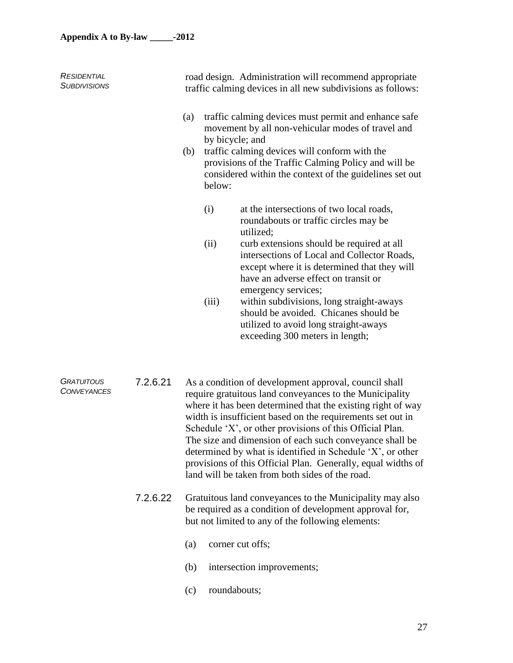| <b>RESIDENTIAL</b><br><b>SUBDIVISIONS</b> |          | road design. Administration will recommend appropriate<br>traffic calming devices in all new subdivisions as follows: |                                                                                                                                                                                                                                               |  |  |  |  |
|-------------------------------------------|----------|-----------------------------------------------------------------------------------------------------------------------|-----------------------------------------------------------------------------------------------------------------------------------------------------------------------------------------------------------------------------------------------|--|--|--|--|
|                                           |          | (a)                                                                                                                   | traffic calming devices must permit and enhance safe<br>movement by all non-vehicular modes of travel and<br>by bicycle; and                                                                                                                  |  |  |  |  |
|                                           |          | (b)                                                                                                                   | traffic calming devices will conform with the<br>provisions of the Traffic Calming Policy and will be<br>considered within the context of the guidelines set out<br>below:                                                                    |  |  |  |  |
|                                           |          | (i)                                                                                                                   | at the intersections of two local roads,<br>roundabouts or traffic circles may be<br>utilized;                                                                                                                                                |  |  |  |  |
|                                           |          | (ii)                                                                                                                  | curb extensions should be required at all<br>intersections of Local and Collector Roads,<br>except where it is determined that they will<br>have an adverse effect on transit or<br>emergency services;                                       |  |  |  |  |
|                                           |          | (iii)                                                                                                                 | within subdivisions, long straight-aways<br>should be avoided. Chicanes should be<br>utilized to avoid long straight-aways<br>exceeding 300 meters in length;                                                                                 |  |  |  |  |
| <b>GRATUITOUS</b><br><b>CONVEYANCES</b>   | 7.2.6.21 |                                                                                                                       | As a condition of development approval, council shall<br>require gratuitous land conveyances to the Municipality<br>where it has been determined that the existing right of way<br>width is insufficient based on the requirements set out in |  |  |  |  |

width is insufficient based on the requirements set out in Schedule 'X', or other provisions of this Official Plan. The size and dimension of each such conveyance shall be determined by what is identified in Schedule 'X', or other provisions of this Official Plan. Generally, equal widths of land will be taken from both sides of the road.

- 7.2.6.22 Gratuitous land conveyances to the Municipality may also be required as a condition of development approval for, but not limited to any of the following elements:
	- (a) corner cut offs;
	- (b) intersection improvements;
	- (c) roundabouts;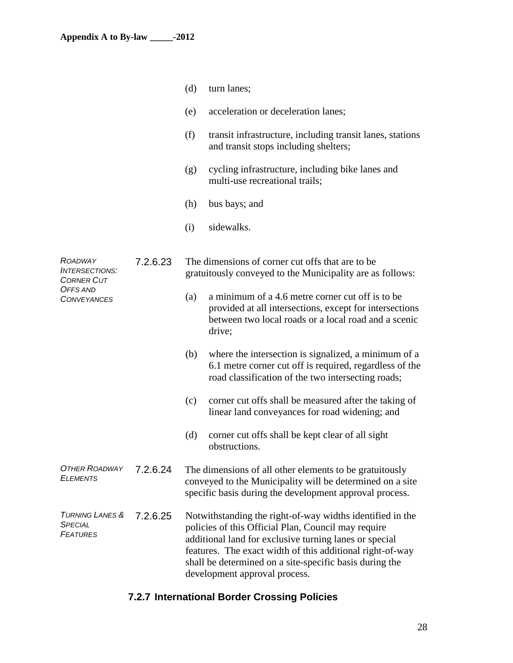|                                                                                                |          | (d) | turn lanes;                                                                                                                                                                                                                                                                                                                         |
|------------------------------------------------------------------------------------------------|----------|-----|-------------------------------------------------------------------------------------------------------------------------------------------------------------------------------------------------------------------------------------------------------------------------------------------------------------------------------------|
|                                                                                                |          | (e) | acceleration or deceleration lanes;                                                                                                                                                                                                                                                                                                 |
|                                                                                                |          | (f) | transit infrastructure, including transit lanes, stations<br>and transit stops including shelters;                                                                                                                                                                                                                                  |
|                                                                                                |          | (g) | cycling infrastructure, including bike lanes and<br>multi-use recreational trails;                                                                                                                                                                                                                                                  |
|                                                                                                |          | (h) | bus bays; and                                                                                                                                                                                                                                                                                                                       |
|                                                                                                |          | (i) | sidewalks.                                                                                                                                                                                                                                                                                                                          |
| ROADWAY<br><b>INTERSECTIONS:</b><br><b>CORNER CUT</b><br><b>OFFS AND</b><br><b>CONVEYANCES</b> | 7.2.6.23 |     | The dimensions of corner cut offs that are to be<br>gratuitously conveyed to the Municipality are as follows:                                                                                                                                                                                                                       |
|                                                                                                |          | (a) | a minimum of a 4.6 metre corner cut off is to be<br>provided at all intersections, except for intersections<br>between two local roads or a local road and a scenic<br>drive;                                                                                                                                                       |
|                                                                                                |          | (b) | where the intersection is signalized, a minimum of a<br>6.1 metre corner cut off is required, regardless of the<br>road classification of the two intersecting roads;                                                                                                                                                               |
|                                                                                                |          | (c) | corner cut offs shall be measured after the taking of<br>linear land conveyances for road widening; and                                                                                                                                                                                                                             |
|                                                                                                |          | (d) | corner cut offs shall be kept clear of all sight<br>obstructions.                                                                                                                                                                                                                                                                   |
| <b>OTHER ROADWAY</b><br><b>ELEMENTS</b>                                                        | 7.2.6.24 |     | The dimensions of all other elements to be gratuitously<br>conveyed to the Municipality will be determined on a site<br>specific basis during the development approval process.                                                                                                                                                     |
| <b>TURNING LANES &amp;</b><br><b>SPECIAL</b><br><b>FEATURES</b>                                | 7.2.6.25 |     | Notwithstanding the right-of-way widths identified in the<br>policies of this Official Plan, Council may require<br>additional land for exclusive turning lanes or special<br>features. The exact width of this additional right-of-way<br>shall be determined on a site-specific basis during the<br>development approval process. |

## **7.2.7 International Border Crossing Policies**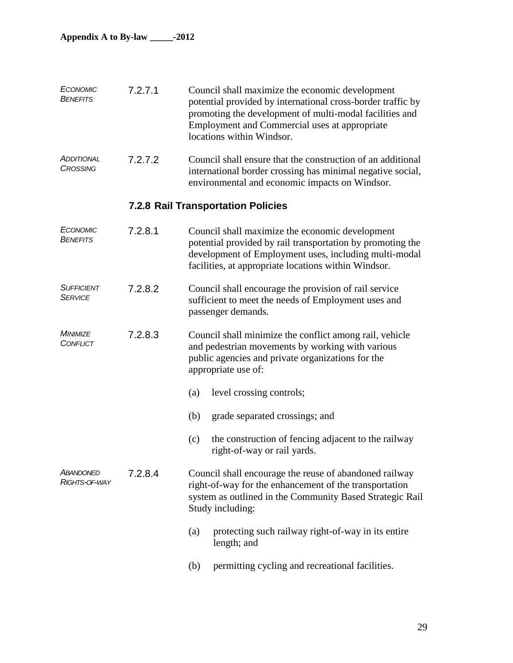| ECONOMIC<br>BENEFITS                 | 7.2.7.1 | Council shall maximize the economic development<br>potential provided by international cross-border traffic by<br>promoting the development of multi-modal facilities and<br>Employment and Commercial uses at appropriate<br>locations within Windsor. |  |  |
|--------------------------------------|---------|---------------------------------------------------------------------------------------------------------------------------------------------------------------------------------------------------------------------------------------------------------|--|--|
| <b>ADDITIONAL</b><br><b>CROSSING</b> | 7.2.7.2 | Council shall ensure that the construction of an additional<br>international border crossing has minimal negative social,<br>environmental and economic impacts on Windsor.                                                                             |  |  |
|                                      |         | <b>7.2.8 Rail Transportation Policies</b>                                                                                                                                                                                                               |  |  |
| ECONOMIC<br><b>BENEFITS</b>          | 7.2.8.1 | Council shall maximize the economic development<br>potential provided by rail transportation by promoting the<br>development of Employment uses, including multi-modal<br>facilities, at appropriate locations within Windsor.                          |  |  |
| <b>SUFFICIENT</b><br><b>SERVICE</b>  | 7.2.8.2 | Council shall encourage the provision of rail service<br>sufficient to meet the needs of Employment uses and<br>passenger demands.                                                                                                                      |  |  |
| <b>MINIMIZE</b><br>CONFLICT          | 7.2.8.3 | Council shall minimize the conflict among rail, vehicle<br>and pedestrian movements by working with various<br>public agencies and private organizations for the<br>appropriate use of:                                                                 |  |  |
|                                      |         | level crossing controls;<br>(a)                                                                                                                                                                                                                         |  |  |
|                                      |         | (b)<br>grade separated crossings; and                                                                                                                                                                                                                   |  |  |
|                                      |         | (c)<br>the construction of fencing adjacent to the railway<br>right-of-way or rail yards.                                                                                                                                                               |  |  |
| <b>ABANDONED</b><br>RIGHTS-OF-WAY    | 7.2.8.4 | Council shall encourage the reuse of abandoned railway<br>right-of-way for the enhancement of the transportation<br>system as outlined in the Community Based Strategic Rail<br>Study including:                                                        |  |  |
|                                      |         | protecting such railway right-of-way in its entire<br>(a)<br>length; and                                                                                                                                                                                |  |  |
|                                      |         | permitting cycling and recreational facilities.<br>(b)                                                                                                                                                                                                  |  |  |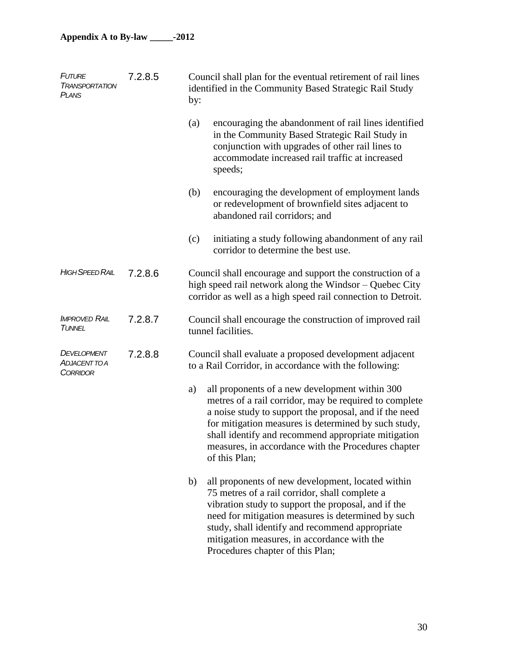| <b>FUTURE</b><br><b>TRANSPORTATION</b><br><b>PLANS</b> | 7.2.8.5 | by: | Council shall plan for the eventual retirement of rail lines<br>identified in the Community Based Strategic Rail Study                                                                                                                                                                                                                                    |
|--------------------------------------------------------|---------|-----|-----------------------------------------------------------------------------------------------------------------------------------------------------------------------------------------------------------------------------------------------------------------------------------------------------------------------------------------------------------|
|                                                        |         | (a) | encouraging the abandonment of rail lines identified<br>in the Community Based Strategic Rail Study in<br>conjunction with upgrades of other rail lines to<br>accommodate increased rail traffic at increased<br>speeds;                                                                                                                                  |
|                                                        |         | (b) | encouraging the development of employment lands<br>or redevelopment of brownfield sites adjacent to<br>abandoned rail corridors; and                                                                                                                                                                                                                      |
|                                                        |         | (c) | initiating a study following abandonment of any rail<br>corridor to determine the best use.                                                                                                                                                                                                                                                               |
| <b>HIGH SPEED RAIL</b>                                 | 7.2.8.6 |     | Council shall encourage and support the construction of a<br>high speed rail network along the Windsor – Quebec City<br>corridor as well as a high speed rail connection to Detroit.                                                                                                                                                                      |
| <b>IMPROVED RAIL</b><br>TUNNEL                         | 7.2.8.7 |     | Council shall encourage the construction of improved rail<br>tunnel facilities.                                                                                                                                                                                                                                                                           |
| DEVELOPMENT<br><b>ADJACENT TO A</b><br><b>CORRIDOR</b> | 7.2.8.8 |     | Council shall evaluate a proposed development adjacent<br>to a Rail Corridor, in accordance with the following:                                                                                                                                                                                                                                           |
|                                                        |         | a)  | all proponents of a new development within 300<br>metres of a rail corridor, may be required to complete<br>a noise study to support the proposal, and if the need<br>for mitigation measures is determined by such study,<br>shall identify and recommend appropriate mitigation<br>measures, in accordance with the Procedures chapter<br>of this Plan; |
|                                                        |         | b)  | all proponents of new development, located within<br>75 metres of a rail corridor, shall complete a<br>vibration study to support the proposal, and if the<br>need for mitigation measures is determined by such<br>study, shall identify and recommend appropriate<br>mitigation measures, in accordance with the<br>Procedures chapter of this Plan;    |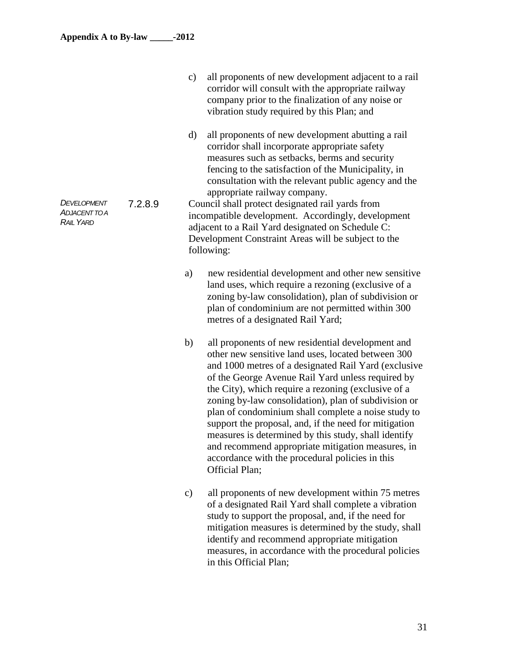|                                                         |         | all proponents of new development adjacent to a rail<br>$\mathbf{c})$<br>corridor will consult with the appropriate railway<br>company prior to the finalization of any noise or<br>vibration study required by this Plan; and                                                                                                                                                                                                                                                                                                                                                                                                              |
|---------------------------------------------------------|---------|---------------------------------------------------------------------------------------------------------------------------------------------------------------------------------------------------------------------------------------------------------------------------------------------------------------------------------------------------------------------------------------------------------------------------------------------------------------------------------------------------------------------------------------------------------------------------------------------------------------------------------------------|
| DEVELOPMENT<br><b>ADJACENT TO A</b><br><b>RAIL YARD</b> | 7.2.8.9 | all proponents of new development abutting a rail<br>$\mathbf{d}$<br>corridor shall incorporate appropriate safety<br>measures such as setbacks, berms and security<br>fencing to the satisfaction of the Municipality, in<br>consultation with the relevant public agency and the<br>appropriate railway company.<br>Council shall protect designated rail yards from<br>incompatible development. Accordingly, development<br>adjacent to a Rail Yard designated on Schedule C:<br>Development Constraint Areas will be subject to the<br>following:                                                                                      |
|                                                         |         | new residential development and other new sensitive<br>a)<br>land uses, which require a rezoning (exclusive of a<br>zoning by-law consolidation), plan of subdivision or<br>plan of condominium are not permitted within 300<br>metres of a designated Rail Yard;                                                                                                                                                                                                                                                                                                                                                                           |
|                                                         |         | b)<br>all proponents of new residential development and<br>other new sensitive land uses, located between 300<br>and 1000 metres of a designated Rail Yard (exclusive<br>of the George Avenue Rail Yard unless required by<br>the City), which require a rezoning (exclusive of a<br>zoning by-law consolidation), plan of subdivision or<br>plan of condominium shall complete a noise study to<br>support the proposal, and, if the need for mitigation<br>measures is determined by this study, shall identify<br>and recommend appropriate mitigation measures, in<br>accordance with the procedural policies in this<br>Official Plan; |
|                                                         |         | all proponents of new development within 75 metres<br>$\mathbf{c})$<br>of a designated Rail Yard shall complete a vibration<br>study to support the proposal, and, if the need for<br>mitigation measures is determined by the study, shall<br>identify and recommend appropriate mitigation<br>measures, in accordance with the procedural policies<br>in this Official Plan;                                                                                                                                                                                                                                                              |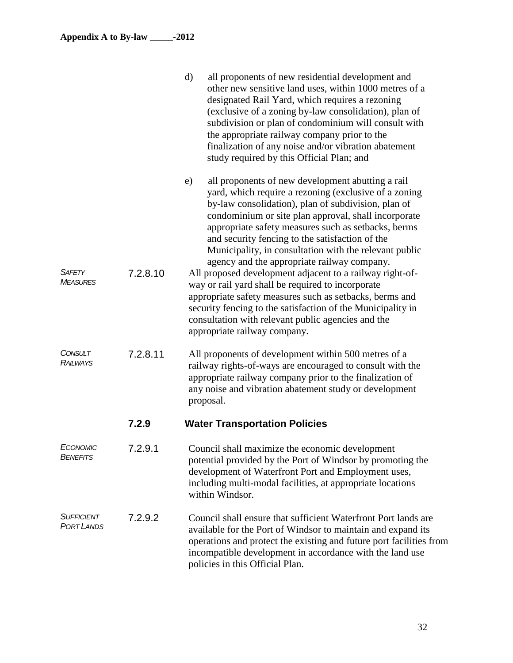|                                 |          | $\mathbf{d}$<br>all proponents of new residential development and<br>other new sensitive land uses, within 1000 metres of a<br>designated Rail Yard, which requires a rezoning<br>(exclusive of a zoning by-law consolidation), plan of<br>subdivision or plan of condominium will consult with<br>the appropriate railway company prior to the<br>finalization of any noise and/or vibration abatement<br>study required by this Official Plan; and                                                                                                                                                                                                                                          |
|---------------------------------|----------|-----------------------------------------------------------------------------------------------------------------------------------------------------------------------------------------------------------------------------------------------------------------------------------------------------------------------------------------------------------------------------------------------------------------------------------------------------------------------------------------------------------------------------------------------------------------------------------------------------------------------------------------------------------------------------------------------|
| SAFETY<br><b>MEASURES</b>       | 7.2.8.10 | all proponents of new development abutting a rail<br>e)<br>yard, which require a rezoning (exclusive of a zoning<br>by-law consolidation), plan of subdivision, plan of<br>condominium or site plan approval, shall incorporate<br>appropriate safety measures such as setbacks, berms<br>and security fencing to the satisfaction of the<br>Municipality, in consultation with the relevant public<br>agency and the appropriate railway company.<br>All proposed development adjacent to a railway right-of-<br>way or rail yard shall be required to incorporate<br>appropriate safety measures such as setbacks, berms and<br>security fencing to the satisfaction of the Municipality in |
|                                 |          | consultation with relevant public agencies and the<br>appropriate railway company.                                                                                                                                                                                                                                                                                                                                                                                                                                                                                                                                                                                                            |
| <b>CONSULT</b><br>Railways      | 7.2.8.11 | All proponents of development within 500 metres of a<br>railway rights-of-ways are encouraged to consult with the<br>appropriate railway company prior to the finalization of<br>any noise and vibration abatement study or development<br>proposal.                                                                                                                                                                                                                                                                                                                                                                                                                                          |
|                                 | 7.2.9    | <b>Water Transportation Policies</b>                                                                                                                                                                                                                                                                                                                                                                                                                                                                                                                                                                                                                                                          |
| ECONOMIC<br><b>BENEFITS</b>     | 7.2.9.1  | Council shall maximize the economic development<br>potential provided by the Port of Windsor by promoting the<br>development of Waterfront Port and Employment uses,<br>including multi-modal facilities, at appropriate locations<br>within Windsor.                                                                                                                                                                                                                                                                                                                                                                                                                                         |
| SUFFICIENT<br><b>PORT LANDS</b> | 7.2.9.2  | Council shall ensure that sufficient Waterfront Port lands are<br>available for the Port of Windsor to maintain and expand its<br>operations and protect the existing and future port facilities from<br>incompatible development in accordance with the land use<br>policies in this Official Plan.                                                                                                                                                                                                                                                                                                                                                                                          |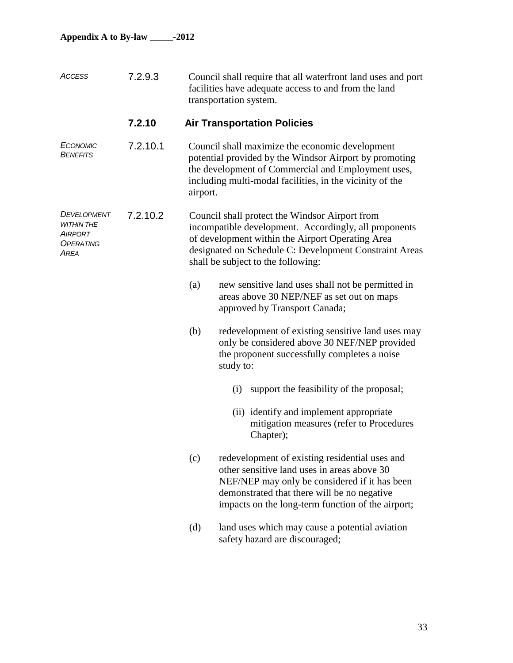| ACCESS                                                    | 7.2.9.3  |          | Council shall require that all waterfront land uses and port<br>facilities have adequate access to and from the land<br>transportation system.                                                                                                              |
|-----------------------------------------------------------|----------|----------|-------------------------------------------------------------------------------------------------------------------------------------------------------------------------------------------------------------------------------------------------------------|
|                                                           | 7.2.10   |          | <b>Air Transportation Policies</b>                                                                                                                                                                                                                          |
| ECONOMIC<br><b>BENEFITS</b>                               | 7.2.10.1 | airport. | Council shall maximize the economic development<br>potential provided by the Windsor Airport by promoting<br>the development of Commercial and Employment uses,<br>including multi-modal facilities, in the vicinity of the                                 |
| DEVELOPMENT<br>WITHIN THE<br>AIRPORT<br>OPERATING<br>AREA | 7.2.10.2 |          | Council shall protect the Windsor Airport from<br>incompatible development. Accordingly, all proponents<br>of development within the Airport Operating Area<br>designated on Schedule C: Development Constraint Areas<br>shall be subject to the following: |
|                                                           |          | (a)      | new sensitive land uses shall not be permitted in<br>areas above 30 NEP/NEF as set out on maps<br>approved by Transport Canada;                                                                                                                             |
|                                                           |          | (b)      | redevelopment of existing sensitive land uses may<br>only be considered above 30 NEF/NEP provided<br>the proponent successfully completes a noise<br>study to:                                                                                              |
|                                                           |          |          | support the feasibility of the proposal;<br>(i)                                                                                                                                                                                                             |
|                                                           |          |          | (ii) identify and implement appropriate<br>mitigation measures (refer to Procedures<br>Chapter);                                                                                                                                                            |
|                                                           |          | (c)      | redevelopment of existing residential uses and<br>other sensitive land uses in areas above 30<br>NEF/NEP may only be considered if it has been<br>demonstrated that there will be no negative<br>impacts on the long-term function of the airport;          |
|                                                           |          | (d)      | land uses which may cause a potential aviation<br>safety hazard are discouraged;                                                                                                                                                                            |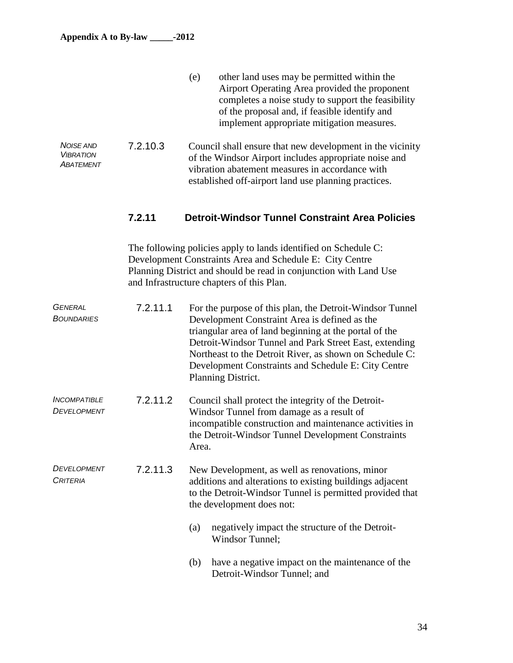|                                                          |          | (e)<br>other land uses may be permitted within the<br>Airport Operating Area provided the proponent<br>completes a noise study to support the feasibility<br>of the proposal and, if feasible identify and<br>implement appropriate mitigation measures.                                                                                                              |
|----------------------------------------------------------|----------|-----------------------------------------------------------------------------------------------------------------------------------------------------------------------------------------------------------------------------------------------------------------------------------------------------------------------------------------------------------------------|
| <b>NOISE AND</b><br><b>VIBRATION</b><br><b>ABATEMENT</b> | 7.2.10.3 | Council shall ensure that new development in the vicinity<br>of the Windsor Airport includes appropriate noise and<br>vibration abatement measures in accordance with<br>established off-airport land use planning practices.                                                                                                                                         |
|                                                          | 7.2.11   | <b>Detroit-Windsor Tunnel Constraint Area Policies</b>                                                                                                                                                                                                                                                                                                                |
|                                                          |          | The following policies apply to lands identified on Schedule C:<br>Development Constraints Area and Schedule E: City Centre<br>Planning District and should be read in conjunction with Land Use<br>and Infrastructure chapters of this Plan.                                                                                                                         |
| <b>GENERAL</b><br><b>BOUNDARIES</b>                      | 7.2.11.1 | For the purpose of this plan, the Detroit-Windsor Tunnel<br>Development Constraint Area is defined as the<br>triangular area of land beginning at the portal of the<br>Detroit-Windsor Tunnel and Park Street East, extending<br>Northeast to the Detroit River, as shown on Schedule C:<br>Development Constraints and Schedule E: City Centre<br>Planning District. |
| <b>INCOMPATIBLE</b><br>DEVELOPMENT                       | 7.2.11.2 | Council shall protect the integrity of the Detroit-<br>Windsor Tunnel from damage as a result of<br>incompatible construction and maintenance activities in<br>the Detroit-Windsor Tunnel Development Constraints<br>Area.                                                                                                                                            |
| DEVELOPMENT<br><b>CRITERIA</b>                           | 7.2.11.3 | New Development, as well as renovations, minor<br>additions and alterations to existing buildings adjacent<br>to the Detroit-Windsor Tunnel is permitted provided that<br>the development does not:                                                                                                                                                                   |
|                                                          |          | negatively impact the structure of the Detroit-<br>(a)<br>Windsor Tunnel;                                                                                                                                                                                                                                                                                             |
|                                                          |          | have a negative impact on the maintenance of the<br>(b)<br>Detroit-Windsor Tunnel; and                                                                                                                                                                                                                                                                                |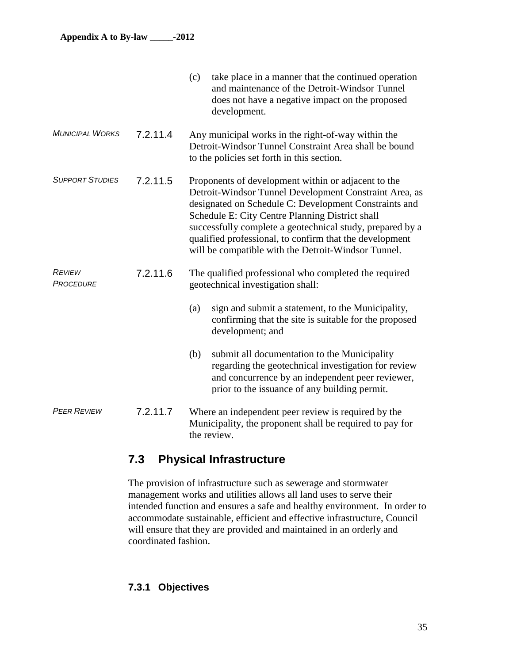|                                   |          | (c)<br>take place in a manner that the continued operation<br>and maintenance of the Detroit-Windsor Tunnel<br>does not have a negative impact on the proposed<br>development.                                                                                                                                                                                                                           |
|-----------------------------------|----------|----------------------------------------------------------------------------------------------------------------------------------------------------------------------------------------------------------------------------------------------------------------------------------------------------------------------------------------------------------------------------------------------------------|
| <b>MUNICIPAL WORKS</b>            | 7.2.11.4 | Any municipal works in the right-of-way within the<br>Detroit-Windsor Tunnel Constraint Area shall be bound<br>to the policies set forth in this section.                                                                                                                                                                                                                                                |
| <b>SUPPORT STUDIES</b>            | 7.2.11.5 | Proponents of development within or adjacent to the<br>Detroit-Windsor Tunnel Development Constraint Area, as<br>designated on Schedule C: Development Constraints and<br>Schedule E: City Centre Planning District shall<br>successfully complete a geotechnical study, prepared by a<br>qualified professional, to confirm that the development<br>will be compatible with the Detroit-Windsor Tunnel. |
| <b>REVIEW</b><br><b>PROCEDURE</b> | 7.2.11.6 | The qualified professional who completed the required<br>geotechnical investigation shall:                                                                                                                                                                                                                                                                                                               |
|                                   |          | sign and submit a statement, to the Municipality,<br>(a)<br>confirming that the site is suitable for the proposed<br>development; and                                                                                                                                                                                                                                                                    |
|                                   |          | (b)<br>submit all documentation to the Municipality<br>regarding the geotechnical investigation for review<br>and concurrence by an independent peer reviewer,<br>prior to the issuance of any building permit.                                                                                                                                                                                          |
| <b>PEER REVIEW</b>                | 7.2.11.7 | Where an independent peer review is required by the<br>Municipality, the proponent shall be required to pay for<br>the review.                                                                                                                                                                                                                                                                           |

## **7.3 Physical Infrastructure**

The provision of infrastructure such as sewerage and stormwater management works and utilities allows all land uses to serve their intended function and ensures a safe and healthy environment. In order to accommodate sustainable, efficient and effective infrastructure, Council will ensure that they are provided and maintained in an orderly and coordinated fashion.

## **7.3.1 Objectives**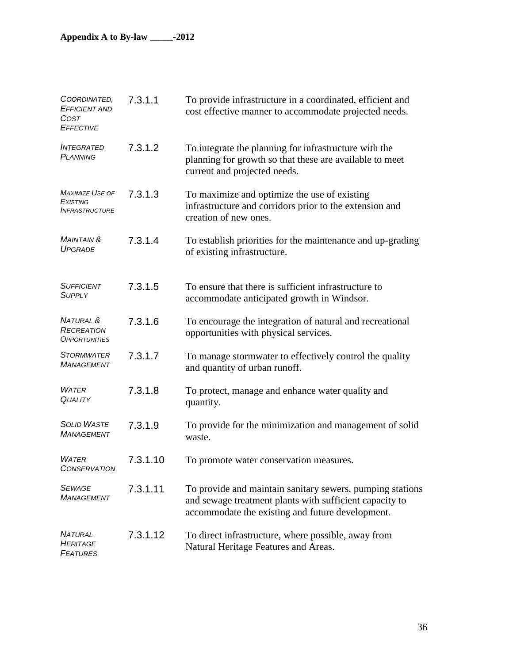| COORDINATED.<br><b>EFFICIENT AND</b><br>COST<br><b>EFFECTIVE</b>   | 7.3.1.1  | To provide infrastructure in a coordinated, efficient and<br>cost effective manner to accommodate projected needs.                                                       |
|--------------------------------------------------------------------|----------|--------------------------------------------------------------------------------------------------------------------------------------------------------------------------|
| <b>INTEGRATED</b><br><b>PLANNING</b>                               | 7.3.1.2  | To integrate the planning for infrastructure with the<br>planning for growth so that these are available to meet<br>current and projected needs.                         |
| <b>MAXIMIZE USE OF</b><br>EXISTING<br><i><b>INFRASTRUCTURE</b></i> | 7.3.1.3  | To maximize and optimize the use of existing<br>infrastructure and corridors prior to the extension and<br>creation of new ones.                                         |
| <b>MAINTAIN &amp;</b><br><b>UPGRADE</b>                            | 7.3.1.4  | To establish priorities for the maintenance and up-grading<br>of existing infrastructure.                                                                                |
| <b>SUFFICIENT</b><br><b>SUPPLY</b>                                 | 7.3.1.5  | To ensure that there is sufficient infrastructure to<br>accommodate anticipated growth in Windsor.                                                                       |
| NATURAL &<br>RECREATION<br><i><b>OPPORTUNITIES</b></i>             | 7.3.1.6  | To encourage the integration of natural and recreational<br>opportunities with physical services.                                                                        |
| <b>STORMWATER</b><br><b>MANAGEMENT</b>                             | 7.3.1.7  | To manage stormwater to effectively control the quality<br>and quantity of urban runoff.                                                                                 |
| <b>WATER</b><br><b>QUALITY</b>                                     | 7.3.1.8  | To protect, manage and enhance water quality and<br>quantity.                                                                                                            |
| <b>SOLID WASTE</b><br><b>MANAGEMENT</b>                            | 7.3.1.9  | To provide for the minimization and management of solid<br>waste.                                                                                                        |
| <b>WATER</b><br><b>CONSERVATION</b>                                | 7.3.1.10 | To promote water conservation measures.                                                                                                                                  |
| <b>SEWAGE</b><br><b>MANAGEMENT</b>                                 | 7.3.1.11 | To provide and maintain sanitary sewers, pumping stations<br>and sewage treatment plants with sufficient capacity to<br>accommodate the existing and future development. |
| <b>NATURAL</b><br><b>HERITAGE</b><br><b>FEATURES</b>               | 7.3.1.12 | To direct infrastructure, where possible, away from<br>Natural Heritage Features and Areas.                                                                              |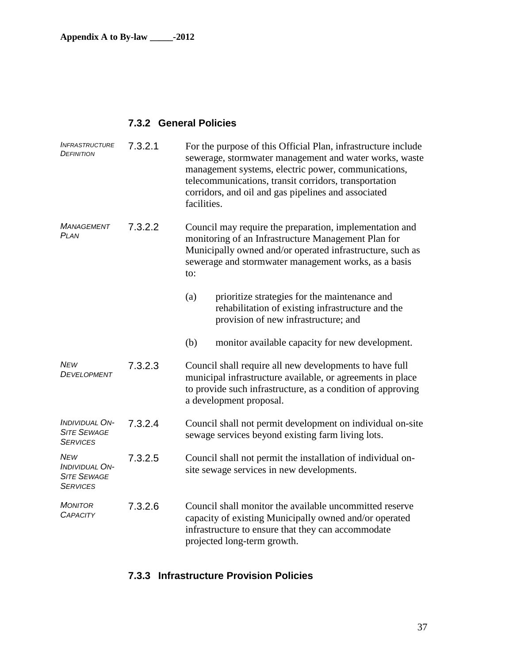### **7.3.2 General Policies**

| <b>INFRASTRUCTURE</b><br><b>DEFINITION</b>                                   | 7.3.2.1 | For the purpose of this Official Plan, infrastructure include<br>sewerage, stormwater management and water works, waste<br>management systems, electric power, communications,<br>telecommunications, transit corridors, transportation<br>corridors, and oil and gas pipelines and associated<br>facilities. |
|------------------------------------------------------------------------------|---------|---------------------------------------------------------------------------------------------------------------------------------------------------------------------------------------------------------------------------------------------------------------------------------------------------------------|
| MANAGEMENT<br>PLAN                                                           | 7.3.2.2 | Council may require the preparation, implementation and<br>monitoring of an Infrastructure Management Plan for<br>Municipally owned and/or operated infrastructure, such as<br>sewerage and stormwater management works, as a basis<br>to:                                                                    |
|                                                                              |         | prioritize strategies for the maintenance and<br>(a)<br>rehabilitation of existing infrastructure and the<br>provision of new infrastructure; and                                                                                                                                                             |
|                                                                              |         | (b)<br>monitor available capacity for new development.                                                                                                                                                                                                                                                        |
| <b>NEW</b><br>DEVELOPMENT                                                    | 7.3.2.3 | Council shall require all new developments to have full<br>municipal infrastructure available, or agreements in place<br>to provide such infrastructure, as a condition of approving<br>a development proposal.                                                                                               |
| <b>INDIVIDUAL ON-</b><br><b>SITE SEWAGE</b><br><b>SERVICES</b>               | 7.3.2.4 | Council shall not permit development on individual on-site<br>sewage services beyond existing farm living lots.                                                                                                                                                                                               |
| <b>NEW</b><br><b>INDIVIDUAL ON-</b><br><b>SITE SEWAGE</b><br><b>SERVICES</b> | 7.3.2.5 | Council shall not permit the installation of individual on-<br>site sewage services in new developments.                                                                                                                                                                                                      |
| <b>MONITOR</b><br><b>CAPACITY</b>                                            | 7.3.2.6 | Council shall monitor the available uncommitted reserve<br>capacity of existing Municipally owned and/or operated<br>infrastructure to ensure that they can accommodate<br>projected long-term growth.                                                                                                        |

## **7.3.3 Infrastructure Provision Policies**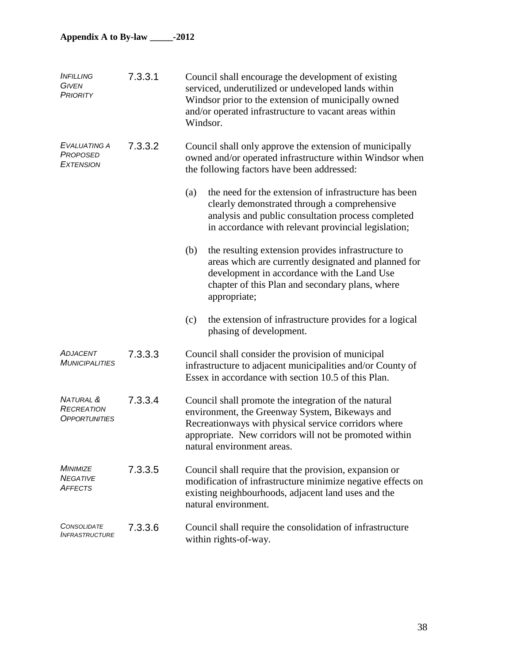| <i><b>INFILLING</b></i><br><b>GIVEN</b><br><b>PRIORITY</b>        | 7.3.3.1 | Council shall encourage the development of existing<br>serviced, underutilized or undeveloped lands within<br>Windsor prior to the extension of municipally owned<br>and/or operated infrastructure to vacant areas within<br>Windsor.                 |
|-------------------------------------------------------------------|---------|--------------------------------------------------------------------------------------------------------------------------------------------------------------------------------------------------------------------------------------------------------|
| EVALUATING A<br><b>PROPOSED</b><br><b>EXTENSION</b>               | 7.3.3.2 | Council shall only approve the extension of municipally<br>owned and/or operated infrastructure within Windsor when<br>the following factors have been addressed:                                                                                      |
|                                                                   |         | the need for the extension of infrastructure has been<br>(a)<br>clearly demonstrated through a comprehensive<br>analysis and public consultation process completed<br>in accordance with relevant provincial legislation;                              |
|                                                                   |         | (b)<br>the resulting extension provides infrastructure to<br>areas which are currently designated and planned for<br>development in accordance with the Land Use<br>chapter of this Plan and secondary plans, where<br>appropriate;                    |
|                                                                   |         | the extension of infrastructure provides for a logical<br>(c)<br>phasing of development.                                                                                                                                                               |
| <b>ADJACENT</b><br><b>MUNICIPALITIES</b>                          | 7.3.3.3 | Council shall consider the provision of municipal<br>infrastructure to adjacent municipalities and/or County of<br>Essex in accordance with section 10.5 of this Plan.                                                                                 |
| <b>NATURAL &amp;</b><br><b>RECREATION</b><br><b>OPPORTUNITIES</b> | 7.3.3.4 | Council shall promote the integration of the natural<br>environment, the Greenway System, Bikeways and<br>Recreationways with physical service corridors where<br>appropriate. New corridors will not be promoted within<br>natural environment areas. |
| <b>MINIMIZE</b><br><b>NEGATIVE</b><br><b>AFFECTS</b>              | 7.3.3.5 | Council shall require that the provision, expansion or<br>modification of infrastructure minimize negative effects on<br>existing neighbourhoods, adjacent land uses and the<br>natural environment.                                                   |
| <b>CONSOLIDATE</b><br><i><b>INFRASTRUCTURE</b></i>                | 7.3.3.6 | Council shall require the consolidation of infrastructure<br>within rights-of-way.                                                                                                                                                                     |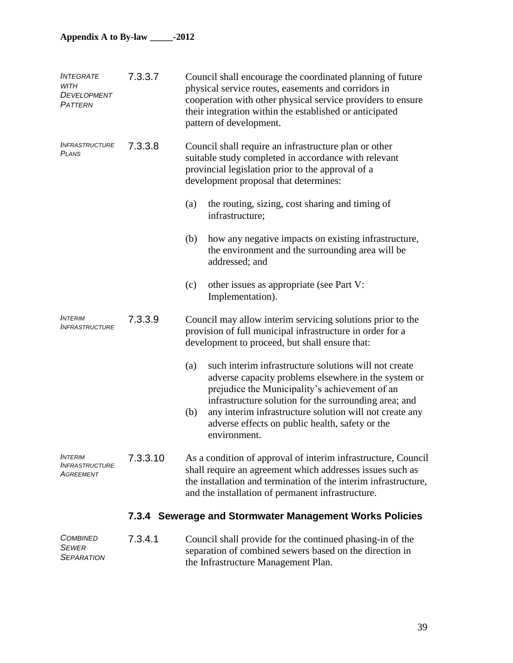| <i><b>INTEGRATE</b></i><br>WITH<br>DEVELOPMENT<br>PATTERN   | 7.3.3.7  | Council shall encourage the coordinated planning of future<br>physical service routes, easements and corridors in<br>cooperation with other physical service providers to ensure<br>their integration within the established or anticipated<br>pattern of development.                                                                                               |
|-------------------------------------------------------------|----------|----------------------------------------------------------------------------------------------------------------------------------------------------------------------------------------------------------------------------------------------------------------------------------------------------------------------------------------------------------------------|
| <i><b>INFRASTRUCTURE</b></i><br><b>PLANS</b>                | 7.3.3.8  | Council shall require an infrastructure plan or other<br>suitable study completed in accordance with relevant<br>provincial legislation prior to the approval of a<br>development proposal that determines:                                                                                                                                                          |
|                                                             |          | the routing, sizing, cost sharing and timing of<br>(a)<br>infrastructure;                                                                                                                                                                                                                                                                                            |
|                                                             |          | (b)<br>how any negative impacts on existing infrastructure,<br>the environment and the surrounding area will be<br>addressed; and                                                                                                                                                                                                                                    |
|                                                             |          | other issues as appropriate (see Part V:<br>(c)<br>Implementation).                                                                                                                                                                                                                                                                                                  |
| <i><b>INTERIM</b></i><br><i><b>INFRASTRUCTURE</b></i>       | 7.3.3.9  | Council may allow interim servicing solutions prior to the<br>provision of full municipal infrastructure in order for a<br>development to proceed, but shall ensure that:                                                                                                                                                                                            |
|                                                             |          | such interim infrastructure solutions will not create<br>(a)<br>adverse capacity problems elsewhere in the system or<br>prejudice the Municipality's achievement of an<br>infrastructure solution for the surrounding area; and<br>any interim infrastructure solution will not create any<br>(b)<br>adverse effects on public health, safety or the<br>environment. |
| <b>INTERIM</b><br><i><b>INFRASTRUCTURE</b></i><br>Agreement | 7.3.3.10 | As a condition of approval of interim infrastructure, Council<br>shall require an agreement which addresses issues such as<br>the installation and termination of the interim infrastructure,<br>and the installation of permanent infrastructure.                                                                                                                   |
|                                                             |          | 7.3.4 Sewerage and Stormwater Management Works Policies                                                                                                                                                                                                                                                                                                              |
| <b>COMBINED</b><br><b>SEWER</b><br><b>SEPARATION</b>        | 7.3.4.1  | Council shall provide for the continued phasing-in of the<br>separation of combined sewers based on the direction in<br>the Infrastructure Management Plan.                                                                                                                                                                                                          |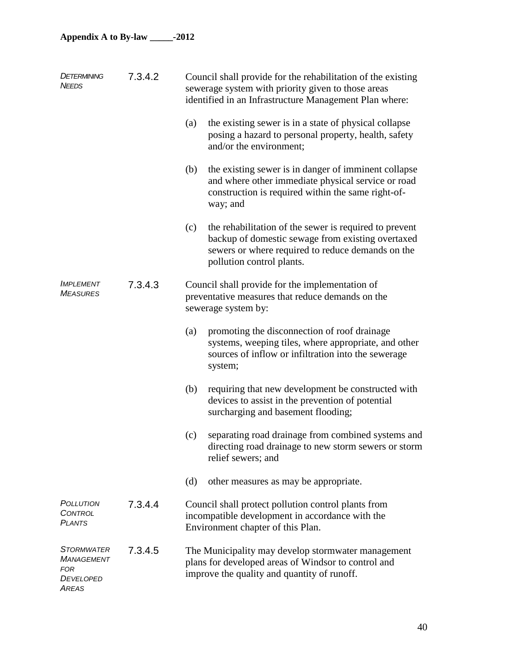| <b>DETERMINING</b><br><b>NEEDS</b>                                                       | 7.3.4.2 | Council shall provide for the rehabilitation of the existing<br>sewerage system with priority given to those areas<br>identified in an Infrastructure Management Plan where:                         |
|------------------------------------------------------------------------------------------|---------|------------------------------------------------------------------------------------------------------------------------------------------------------------------------------------------------------|
|                                                                                          |         | (a)<br>the existing sewer is in a state of physical collapse<br>posing a hazard to personal property, health, safety<br>and/or the environment;                                                      |
|                                                                                          |         | the existing sewer is in danger of imminent collapse<br>(b)<br>and where other immediate physical service or road<br>construction is required within the same right-of-<br>way; and                  |
|                                                                                          |         | (c)<br>the rehabilitation of the sewer is required to prevent<br>backup of domestic sewage from existing overtaxed<br>sewers or where required to reduce demands on the<br>pollution control plants. |
| <b>IMPLEMENT</b><br><b>MEASURES</b>                                                      | 7.3.4.3 | Council shall provide for the implementation of<br>preventative measures that reduce demands on the<br>sewerage system by:                                                                           |
|                                                                                          |         | promoting the disconnection of roof drainage<br>(a)<br>systems, weeping tiles, where appropriate, and other<br>sources of inflow or infiltration into the sewerage<br>system;                        |
|                                                                                          |         | requiring that new development be constructed with<br>(b)<br>devices to assist in the prevention of potential<br>surcharging and basement flooding;                                                  |
|                                                                                          |         | separating road drainage from combined systems and<br>(c)<br>directing road drainage to new storm sewers or storm<br>relief sewers; and                                                              |
|                                                                                          |         | (d)<br>other measures as may be appropriate.                                                                                                                                                         |
| POLLUTION<br><b>CONTROL</b><br><b>PLANTS</b>                                             | 7.3.4.4 | Council shall protect pollution control plants from<br>incompatible development in accordance with the<br>Environment chapter of this Plan.                                                          |
| <b>STORMWATER</b><br><b>MANAGEMENT</b><br><b>FOR</b><br><b>DEVELOPED</b><br><b>AREAS</b> | 7.3.4.5 | The Municipality may develop stormwater management<br>plans for developed areas of Windsor to control and<br>improve the quality and quantity of runoff.                                             |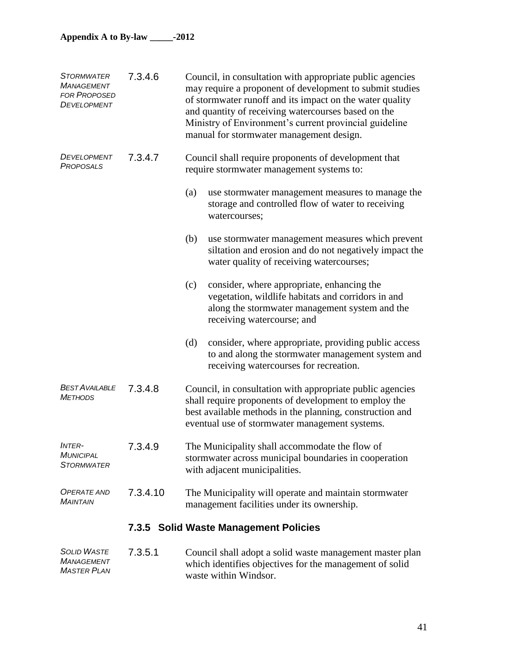| <b>STORMWATER</b><br><b>MANAGEMENT</b><br><b>FOR PROPOSED</b><br>DEVELOPMENT | 7.3.4.6  | Council, in consultation with appropriate public agencies<br>may require a proponent of development to submit studies<br>of stormwater runoff and its impact on the water quality<br>and quantity of receiving watercourses based on the<br>Ministry of Environment's current provincial guideline<br>manual for stormwater management design. |
|------------------------------------------------------------------------------|----------|------------------------------------------------------------------------------------------------------------------------------------------------------------------------------------------------------------------------------------------------------------------------------------------------------------------------------------------------|
| DEVELOPMENT<br>PROPOSALS                                                     | 7.3.4.7  | Council shall require proponents of development that<br>require stormwater management systems to:                                                                                                                                                                                                                                              |
|                                                                              |          | (a)<br>use stormwater management measures to manage the<br>storage and controlled flow of water to receiving<br>watercourses;                                                                                                                                                                                                                  |
|                                                                              |          | (b)<br>use stormwater management measures which prevent<br>siltation and erosion and do not negatively impact the<br>water quality of receiving watercourses;                                                                                                                                                                                  |
|                                                                              |          | (c)<br>consider, where appropriate, enhancing the<br>vegetation, wildlife habitats and corridors in and<br>along the stormwater management system and the<br>receiving watercourse; and                                                                                                                                                        |
|                                                                              |          | (d)<br>consider, where appropriate, providing public access<br>to and along the stormwater management system and<br>receiving watercourses for recreation.                                                                                                                                                                                     |
| <b>BEST AVAILABLE</b><br><b>METHODS</b>                                      | 7.3.4.8  | Council, in consultation with appropriate public agencies<br>shall require proponents of development to employ the<br>best available methods in the planning, construction and<br>eventual use of stormwater management systems.                                                                                                               |
| <i><b>INTER-</b></i><br>MUNICIPAL<br><b>STORMWATER</b>                       | 7.3.4.9  | The Municipality shall accommodate the flow of<br>stormwater across municipal boundaries in cooperation<br>with adjacent municipalities.                                                                                                                                                                                                       |
| <b>OPERATE AND</b><br><b>MAINTAIN</b>                                        | 7.3.4.10 | The Municipality will operate and maintain stormwater<br>management facilities under its ownership.                                                                                                                                                                                                                                            |
|                                                                              |          | 7.3.5 Solid Waste Management Policies                                                                                                                                                                                                                                                                                                          |
| <b>SOLID WASTE</b><br><b>MANAGEMENT</b><br><b>MASTER PLAN</b>                | 7.3.5.1  | Council shall adopt a solid waste management master plan<br>which identifies objectives for the management of solid<br>waste within Windsor.                                                                                                                                                                                                   |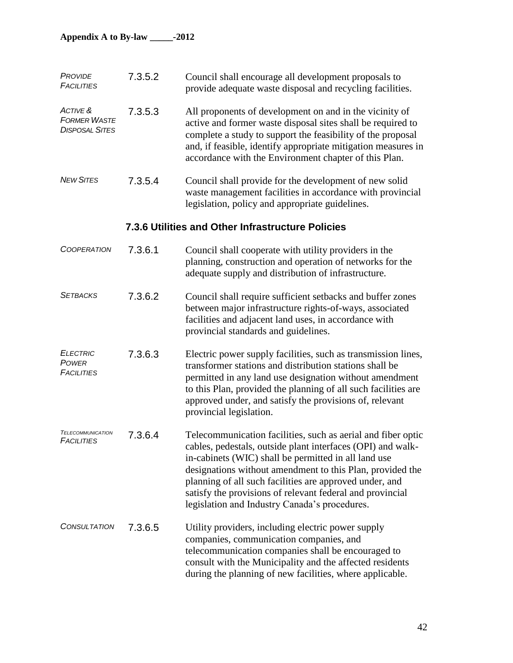| PROVIDE<br><b>FACILITIES</b>                             | 7.3.5.2 | Council shall encourage all development proposals to<br>provide adequate waste disposal and recycling facilities.                                                                                                                                                                                                                                                                                                         |
|----------------------------------------------------------|---------|---------------------------------------------------------------------------------------------------------------------------------------------------------------------------------------------------------------------------------------------------------------------------------------------------------------------------------------------------------------------------------------------------------------------------|
| ACTIVE &<br><b>FORMER WASTE</b><br><b>DISPOSAL SITES</b> | 7.3.5.3 | All proponents of development on and in the vicinity of<br>active and former waste disposal sites shall be required to<br>complete a study to support the feasibility of the proposal<br>and, if feasible, identify appropriate mitigation measures in<br>accordance with the Environment chapter of this Plan.                                                                                                           |
| <b>NEW SITES</b>                                         | 7.3.5.4 | Council shall provide for the development of new solid<br>waste management facilities in accordance with provincial<br>legislation, policy and appropriate guidelines.                                                                                                                                                                                                                                                    |
| 7.3.6 Utilities and Other Infrastructure Policies        |         |                                                                                                                                                                                                                                                                                                                                                                                                                           |
| <b>COOPERATION</b>                                       | 7.3.6.1 | Council shall cooperate with utility providers in the<br>planning, construction and operation of networks for the<br>adequate supply and distribution of infrastructure.                                                                                                                                                                                                                                                  |
| <b>SETBACKS</b>                                          | 7.3.6.2 | Council shall require sufficient setbacks and buffer zones<br>between major infrastructure rights-of-ways, associated<br>facilities and adjacent land uses, in accordance with<br>provincial standards and guidelines.                                                                                                                                                                                                    |
| <b>ELECTRIC</b><br>POWER<br><b>FACILITIES</b>            | 7.3.6.3 | Electric power supply facilities, such as transmission lines,<br>transformer stations and distribution stations shall be<br>permitted in any land use designation without amendment<br>to this Plan, provided the planning of all such facilities are<br>approved under, and satisfy the provisions of, relevant<br>provincial legislation.                                                                               |
| <b>TELECOMMUNICATION</b><br><b>FACILITIES</b>            | 7.3.6.4 | Telecommunication facilities, such as aerial and fiber optic<br>cables, pedestals, outside plant interfaces (OPI) and walk-<br>in-cabinets (WIC) shall be permitted in all land use<br>designations without amendment to this Plan, provided the<br>planning of all such facilities are approved under, and<br>satisfy the provisions of relevant federal and provincial<br>legislation and Industry Canada's procedures. |
| <b>CONSULTATION</b>                                      | 7.3.6.5 | Utility providers, including electric power supply<br>companies, communication companies, and<br>telecommunication companies shall be encouraged to<br>consult with the Municipality and the affected residents<br>during the planning of new facilities, where applicable.                                                                                                                                               |